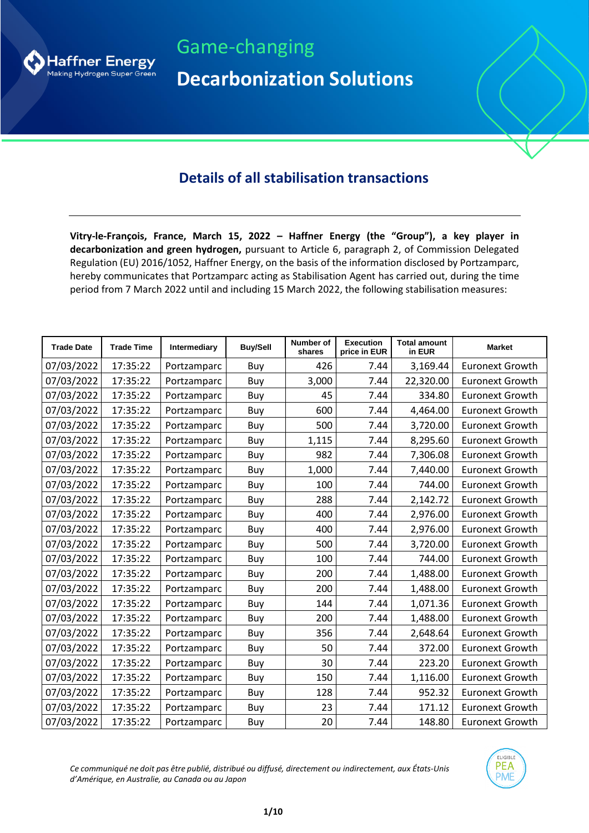

Game-changing **Decarbonization Solutions**

## **Details of all stabilisation transactions**

**Vitry-le-François, France, March 15, 2022 – Haffner Energy (the "Group"), a key player in decarbonization and green hydrogen,** pursuant to Article 6, paragraph 2, of Commission Delegated Regulation (EU) 2016/1052, Haffner Energy, on the basis of the information disclosed by Portzamparc, hereby communicates that Portzamparc acting as Stabilisation Agent has carried out, during the time period from 7 March 2022 until and including 15 March 2022, the following stabilisation measures:

| <b>Trade Date</b> | <b>Trade Time</b> | <b>Intermediary</b> | <b>Buy/Sell</b> | Number of<br>shares | <b>Execution</b><br>price in EUR | <b>Total amount</b><br>in EUR | <b>Market</b>          |
|-------------------|-------------------|---------------------|-----------------|---------------------|----------------------------------|-------------------------------|------------------------|
| 07/03/2022        | 17:35:22          | Portzamparc         | Buy             | 426                 | 7.44                             | 3,169.44                      | <b>Euronext Growth</b> |
| 07/03/2022        | 17:35:22          | Portzamparc         | Buy             | 3,000               | 7.44                             | 22,320.00                     | <b>Euronext Growth</b> |
| 07/03/2022        | 17:35:22          | Portzamparc         | Buy             | 45                  | 7.44                             | 334.80                        | <b>Euronext Growth</b> |
| 07/03/2022        | 17:35:22          | Portzamparc         | Buy             | 600                 | 7.44                             | 4,464.00                      | <b>Euronext Growth</b> |
| 07/03/2022        | 17:35:22          | Portzamparc         | Buy             | 500                 | 7.44                             | 3,720.00                      | <b>Euronext Growth</b> |
| 07/03/2022        | 17:35:22          | Portzamparc         | Buy             | 1,115               | 7.44                             | 8,295.60                      | <b>Euronext Growth</b> |
| 07/03/2022        | 17:35:22          | Portzamparc         | Buy             | 982                 | 7.44                             | 7,306.08                      | <b>Euronext Growth</b> |
| 07/03/2022        | 17:35:22          | Portzamparc         | Buy             | 1,000               | 7.44                             | 7,440.00                      | <b>Euronext Growth</b> |
| 07/03/2022        | 17:35:22          | Portzamparc         | Buy             | 100                 | 7.44                             | 744.00                        | <b>Euronext Growth</b> |
| 07/03/2022        | 17:35:22          | Portzamparc         | Buy             | 288                 | 7.44                             | 2,142.72                      | <b>Euronext Growth</b> |
| 07/03/2022        | 17:35:22          | Portzamparc         | Buy             | 400                 | 7.44                             | 2,976.00                      | <b>Euronext Growth</b> |
| 07/03/2022        | 17:35:22          | Portzamparc         | Buy             | 400                 | 7.44                             | 2,976.00                      | <b>Euronext Growth</b> |
| 07/03/2022        | 17:35:22          | Portzamparc         | Buy             | 500                 | 7.44                             | 3,720.00                      | <b>Euronext Growth</b> |
| 07/03/2022        | 17:35:22          | Portzamparc         | Buy             | 100                 | 7.44                             | 744.00                        | <b>Euronext Growth</b> |
| 07/03/2022        | 17:35:22          | Portzamparc         | Buy             | 200                 | 7.44                             | 1,488.00                      | <b>Euronext Growth</b> |
| 07/03/2022        | 17:35:22          | Portzamparc         | Buy             | 200                 | 7.44                             | 1,488.00                      | <b>Euronext Growth</b> |
| 07/03/2022        | 17:35:22          | Portzamparc         | Buy             | 144                 | 7.44                             | 1,071.36                      | <b>Euronext Growth</b> |
| 07/03/2022        | 17:35:22          | Portzamparc         | Buy             | 200                 | 7.44                             | 1,488.00                      | <b>Euronext Growth</b> |
| 07/03/2022        | 17:35:22          | Portzamparc         | Buy             | 356                 | 7.44                             | 2,648.64                      | <b>Euronext Growth</b> |
| 07/03/2022        | 17:35:22          | Portzamparc         | Buy             | 50                  | 7.44                             | 372.00                        | <b>Euronext Growth</b> |
| 07/03/2022        | 17:35:22          | Portzamparc         | Buy             | 30                  | 7.44                             | 223.20                        | <b>Euronext Growth</b> |
| 07/03/2022        | 17:35:22          | Portzamparc         | Buy             | 150                 | 7.44                             | 1,116.00                      | <b>Euronext Growth</b> |
| 07/03/2022        | 17:35:22          | Portzamparc         | Buy             | 128                 | 7.44                             | 952.32                        | <b>Euronext Growth</b> |
| 07/03/2022        | 17:35:22          | Portzamparc         | Buy             | 23                  | 7.44                             | 171.12                        | <b>Euronext Growth</b> |
| 07/03/2022        | 17:35:22          | Portzamparc         | Buy             | 20                  | 7.44                             | 148.80                        | <b>Euronext Growth</b> |

*Ce communiqué ne doit pas être publié, distribué ou diffusé, directement ou indirectement, aux États-Unis d'Amérique, en Australie, au Canada ou au Japon*

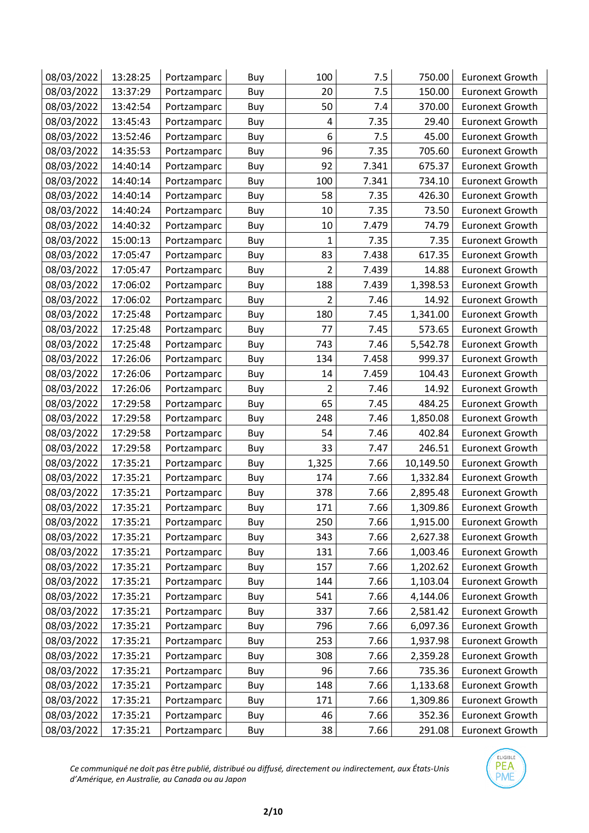| 08/03/2022 | 13:28:25 | Portzamparc | Buy | 100            | 7.5   | 750.00    | <b>Euronext Growth</b> |
|------------|----------|-------------|-----|----------------|-------|-----------|------------------------|
| 08/03/2022 | 13:37:29 | Portzamparc | Buy | 20             | 7.5   | 150.00    | <b>Euronext Growth</b> |
| 08/03/2022 | 13:42:54 | Portzamparc | Buy | 50             | 7.4   | 370.00    | <b>Euronext Growth</b> |
| 08/03/2022 | 13:45:43 | Portzamparc | Buy | 4              | 7.35  | 29.40     | <b>Euronext Growth</b> |
| 08/03/2022 | 13:52:46 | Portzamparc | Buy | 6              | 7.5   | 45.00     | <b>Euronext Growth</b> |
| 08/03/2022 | 14:35:53 | Portzamparc | Buy | 96             | 7.35  | 705.60    | <b>Euronext Growth</b> |
| 08/03/2022 | 14:40:14 | Portzamparc | Buy | 92             | 7.341 | 675.37    | <b>Euronext Growth</b> |
| 08/03/2022 | 14:40:14 | Portzamparc | Buy | 100            | 7.341 | 734.10    | <b>Euronext Growth</b> |
| 08/03/2022 | 14:40:14 | Portzamparc | Buy | 58             | 7.35  | 426.30    | <b>Euronext Growth</b> |
| 08/03/2022 | 14:40:24 | Portzamparc | Buy | 10             | 7.35  | 73.50     | <b>Euronext Growth</b> |
| 08/03/2022 | 14:40:32 | Portzamparc | Buy | 10             | 7.479 | 74.79     | <b>Euronext Growth</b> |
| 08/03/2022 | 15:00:13 | Portzamparc | Buy | $\mathbf{1}$   | 7.35  | 7.35      | <b>Euronext Growth</b> |
| 08/03/2022 | 17:05:47 | Portzamparc | Buy | 83             | 7.438 | 617.35    | <b>Euronext Growth</b> |
| 08/03/2022 | 17:05:47 | Portzamparc | Buy | $\overline{2}$ | 7.439 | 14.88     | <b>Euronext Growth</b> |
| 08/03/2022 | 17:06:02 | Portzamparc | Buy | 188            | 7.439 | 1,398.53  | <b>Euronext Growth</b> |
| 08/03/2022 | 17:06:02 | Portzamparc | Buy | $\overline{2}$ | 7.46  | 14.92     | <b>Euronext Growth</b> |
| 08/03/2022 | 17:25:48 | Portzamparc | Buy | 180            | 7.45  | 1,341.00  | <b>Euronext Growth</b> |
| 08/03/2022 | 17:25:48 | Portzamparc | Buy | 77             | 7.45  | 573.65    | <b>Euronext Growth</b> |
| 08/03/2022 | 17:25:48 | Portzamparc | Buy | 743            | 7.46  | 5,542.78  | <b>Euronext Growth</b> |
| 08/03/2022 | 17:26:06 | Portzamparc | Buy | 134            | 7.458 | 999.37    | <b>Euronext Growth</b> |
| 08/03/2022 | 17:26:06 | Portzamparc | Buy | 14             | 7.459 | 104.43    | <b>Euronext Growth</b> |
| 08/03/2022 | 17:26:06 | Portzamparc | Buy | $\overline{2}$ | 7.46  | 14.92     | <b>Euronext Growth</b> |
| 08/03/2022 | 17:29:58 | Portzamparc | Buy | 65             | 7.45  | 484.25    | <b>Euronext Growth</b> |
| 08/03/2022 | 17:29:58 | Portzamparc | Buy | 248            | 7.46  | 1,850.08  | <b>Euronext Growth</b> |
| 08/03/2022 | 17:29:58 | Portzamparc | Buy | 54             | 7.46  | 402.84    | <b>Euronext Growth</b> |
| 08/03/2022 | 17:29:58 | Portzamparc | Buy | 33             | 7.47  | 246.51    | <b>Euronext Growth</b> |
| 08/03/2022 | 17:35:21 | Portzamparc | Buy | 1,325          | 7.66  | 10,149.50 | <b>Euronext Growth</b> |
| 08/03/2022 | 17:35:21 | Portzamparc | Buy | 174            | 7.66  | 1,332.84  | <b>Euronext Growth</b> |
| 08/03/2022 | 17:35:21 | Portzamparc | Buy | 378            | 7.66  | 2,895.48  | <b>Euronext Growth</b> |
| 08/03/2022 | 17:35:21 | Portzamparc | Buy | 171            | 7.66  | 1,309.86  | <b>Euronext Growth</b> |
| 08/03/2022 | 17:35:21 | Portzamparc | Buy | 250            | 7.66  | 1,915.00  | <b>Euronext Growth</b> |
| 08/03/2022 | 17:35:21 | Portzamparc | Buy | 343            | 7.66  | 2,627.38  | <b>Euronext Growth</b> |
| 08/03/2022 | 17:35:21 | Portzamparc | Buy | 131            | 7.66  | 1,003.46  | <b>Euronext Growth</b> |
| 08/03/2022 | 17:35:21 | Portzamparc | Buy | 157            | 7.66  | 1,202.62  | <b>Euronext Growth</b> |
| 08/03/2022 | 17:35:21 | Portzamparc | Buy | 144            | 7.66  | 1,103.04  | <b>Euronext Growth</b> |
| 08/03/2022 | 17:35:21 | Portzamparc | Buy | 541            | 7.66  | 4,144.06  | <b>Euronext Growth</b> |
| 08/03/2022 | 17:35:21 | Portzamparc | Buy | 337            | 7.66  | 2,581.42  | <b>Euronext Growth</b> |
| 08/03/2022 | 17:35:21 | Portzamparc | Buy | 796            | 7.66  | 6,097.36  | <b>Euronext Growth</b> |
| 08/03/2022 | 17:35:21 | Portzamparc | Buy | 253            | 7.66  | 1,937.98  | <b>Euronext Growth</b> |
| 08/03/2022 | 17:35:21 | Portzamparc | Buy | 308            | 7.66  | 2,359.28  | <b>Euronext Growth</b> |
| 08/03/2022 | 17:35:21 | Portzamparc | Buy | 96             | 7.66  | 735.36    | <b>Euronext Growth</b> |
| 08/03/2022 | 17:35:21 | Portzamparc | Buy | 148            | 7.66  | 1,133.68  | <b>Euronext Growth</b> |
| 08/03/2022 | 17:35:21 | Portzamparc | Buy | 171            | 7.66  | 1,309.86  | <b>Euronext Growth</b> |
| 08/03/2022 | 17:35:21 | Portzamparc | Buy | 46             | 7.66  | 352.36    | <b>Euronext Growth</b> |
| 08/03/2022 | 17:35:21 | Portzamparc | Buy | 38             | 7.66  | 291.08    | <b>Euronext Growth</b> |

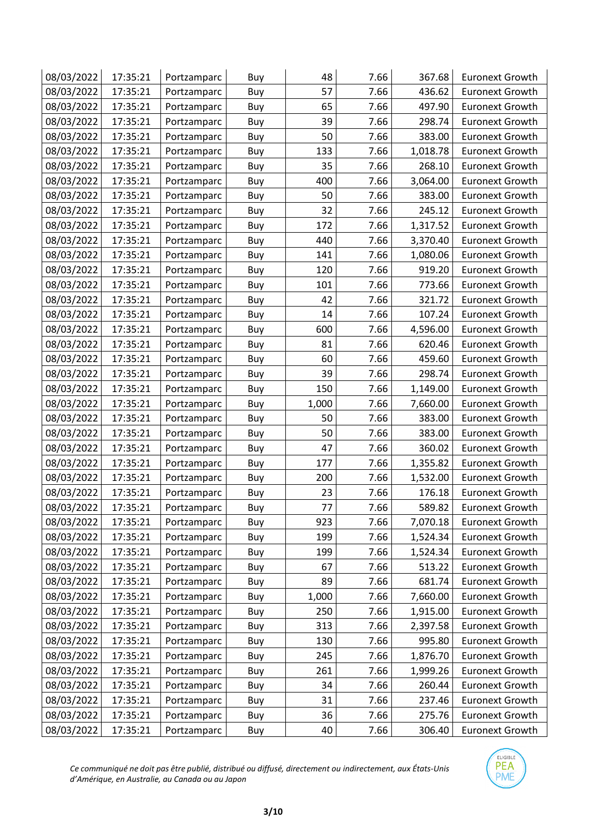| 08/03/2022 | 17:35:21 | Portzamparc | Buy | 48    | 7.66 | 367.68   | <b>Euronext Growth</b> |
|------------|----------|-------------|-----|-------|------|----------|------------------------|
| 08/03/2022 | 17:35:21 | Portzamparc | Buy | 57    | 7.66 | 436.62   | <b>Euronext Growth</b> |
| 08/03/2022 | 17:35:21 | Portzamparc | Buy | 65    | 7.66 | 497.90   | <b>Euronext Growth</b> |
| 08/03/2022 | 17:35:21 | Portzamparc | Buy | 39    | 7.66 | 298.74   | <b>Euronext Growth</b> |
| 08/03/2022 | 17:35:21 | Portzamparc | Buy | 50    | 7.66 | 383.00   | <b>Euronext Growth</b> |
| 08/03/2022 | 17:35:21 | Portzamparc | Buy | 133   | 7.66 | 1,018.78 | <b>Euronext Growth</b> |
| 08/03/2022 | 17:35:21 | Portzamparc | Buy | 35    | 7.66 | 268.10   | <b>Euronext Growth</b> |
| 08/03/2022 | 17:35:21 | Portzamparc | Buy | 400   | 7.66 | 3,064.00 | <b>Euronext Growth</b> |
| 08/03/2022 | 17:35:21 | Portzamparc | Buy | 50    | 7.66 | 383.00   | <b>Euronext Growth</b> |
| 08/03/2022 | 17:35:21 | Portzamparc | Buy | 32    | 7.66 | 245.12   | <b>Euronext Growth</b> |
| 08/03/2022 | 17:35:21 | Portzamparc | Buy | 172   | 7.66 | 1,317.52 | <b>Euronext Growth</b> |
| 08/03/2022 | 17:35:21 | Portzamparc | Buy | 440   | 7.66 | 3,370.40 | <b>Euronext Growth</b> |
| 08/03/2022 | 17:35:21 | Portzamparc | Buy | 141   | 7.66 | 1,080.06 | <b>Euronext Growth</b> |
| 08/03/2022 | 17:35:21 | Portzamparc | Buy | 120   | 7.66 | 919.20   | <b>Euronext Growth</b> |
| 08/03/2022 | 17:35:21 | Portzamparc | Buy | 101   | 7.66 | 773.66   | <b>Euronext Growth</b> |
| 08/03/2022 | 17:35:21 | Portzamparc | Buy | 42    | 7.66 | 321.72   | <b>Euronext Growth</b> |
| 08/03/2022 | 17:35:21 | Portzamparc | Buy | 14    | 7.66 | 107.24   | <b>Euronext Growth</b> |
| 08/03/2022 | 17:35:21 | Portzamparc | Buy | 600   | 7.66 | 4,596.00 | <b>Euronext Growth</b> |
| 08/03/2022 | 17:35:21 | Portzamparc | Buy | 81    | 7.66 | 620.46   | <b>Euronext Growth</b> |
| 08/03/2022 | 17:35:21 | Portzamparc | Buy | 60    | 7.66 | 459.60   | <b>Euronext Growth</b> |
| 08/03/2022 | 17:35:21 | Portzamparc | Buy | 39    | 7.66 | 298.74   | <b>Euronext Growth</b> |
| 08/03/2022 | 17:35:21 | Portzamparc | Buy | 150   | 7.66 | 1,149.00 | <b>Euronext Growth</b> |
| 08/03/2022 | 17:35:21 | Portzamparc | Buy | 1,000 | 7.66 | 7,660.00 | <b>Euronext Growth</b> |
| 08/03/2022 | 17:35:21 | Portzamparc | Buy | 50    | 7.66 | 383.00   | <b>Euronext Growth</b> |
| 08/03/2022 | 17:35:21 | Portzamparc | Buy | 50    | 7.66 | 383.00   | <b>Euronext Growth</b> |
| 08/03/2022 | 17:35:21 | Portzamparc | Buy | 47    | 7.66 | 360.02   | Euronext Growth        |
| 08/03/2022 | 17:35:21 | Portzamparc | Buy | 177   | 7.66 | 1,355.82 | <b>Euronext Growth</b> |
| 08/03/2022 | 17:35:21 | Portzamparc | Buy | 200   | 7.66 | 1,532.00 | <b>Euronext Growth</b> |
| 08/03/2022 | 17:35:21 | Portzamparc | Buy | 23    | 7.66 | 176.18   | <b>Euronext Growth</b> |
| 08/03/2022 | 17:35:21 | Portzamparc | Buy | 77    | 7.66 | 589.82   | <b>Euronext Growth</b> |
| 08/03/2022 | 17:35:21 | Portzamparc | Buy | 923   | 7.66 | 7,070.18 | <b>Euronext Growth</b> |
| 08/03/2022 | 17:35:21 | Portzamparc | Buy | 199   | 7.66 | 1,524.34 | <b>Euronext Growth</b> |
| 08/03/2022 | 17:35:21 | Portzamparc | Buy | 199   | 7.66 | 1,524.34 | <b>Euronext Growth</b> |
| 08/03/2022 | 17:35:21 | Portzamparc | Buy | 67    | 7.66 | 513.22   | <b>Euronext Growth</b> |
| 08/03/2022 | 17:35:21 | Portzamparc | Buy | 89    | 7.66 | 681.74   | <b>Euronext Growth</b> |
| 08/03/2022 | 17:35:21 | Portzamparc | Buy | 1,000 | 7.66 | 7,660.00 | <b>Euronext Growth</b> |
| 08/03/2022 | 17:35:21 | Portzamparc | Buy | 250   | 7.66 | 1,915.00 | <b>Euronext Growth</b> |
| 08/03/2022 | 17:35:21 | Portzamparc | Buy | 313   | 7.66 | 2,397.58 | <b>Euronext Growth</b> |
| 08/03/2022 | 17:35:21 | Portzamparc | Buy | 130   | 7.66 | 995.80   | <b>Euronext Growth</b> |
| 08/03/2022 | 17:35:21 | Portzamparc | Buy | 245   | 7.66 | 1,876.70 | <b>Euronext Growth</b> |
| 08/03/2022 | 17:35:21 | Portzamparc | Buy | 261   | 7.66 | 1,999.26 | <b>Euronext Growth</b> |
| 08/03/2022 | 17:35:21 | Portzamparc | Buy | 34    | 7.66 | 260.44   | <b>Euronext Growth</b> |
| 08/03/2022 | 17:35:21 | Portzamparc | Buy | 31    | 7.66 | 237.46   | <b>Euronext Growth</b> |
| 08/03/2022 | 17:35:21 | Portzamparc | Buy | 36    | 7.66 | 275.76   | <b>Euronext Growth</b> |
| 08/03/2022 | 17:35:21 | Portzamparc | Buy | 40    | 7.66 | 306.40   | <b>Euronext Growth</b> |

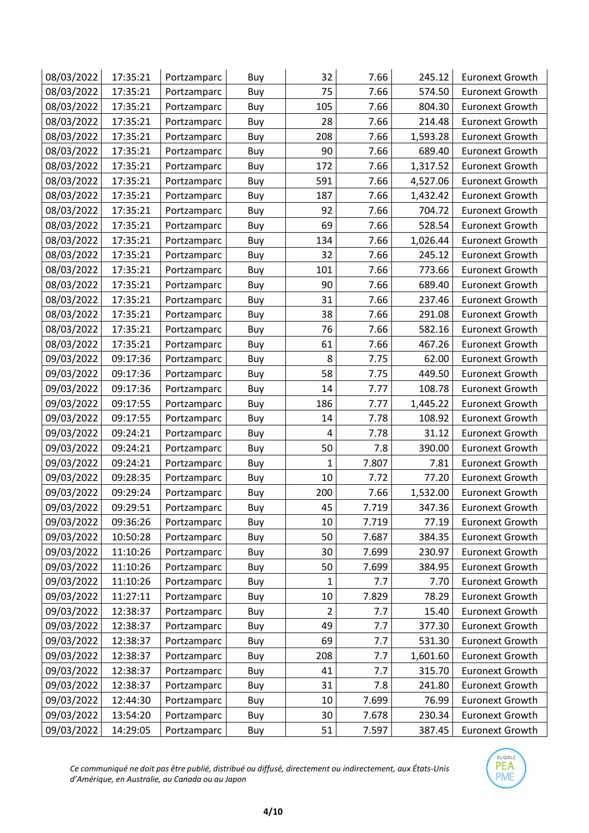| 08/03/2022 | 17:35:21 | Portzamparc | Buy | 32  | 7.66  | 245.12   | <b>Euronext Growth</b> |
|------------|----------|-------------|-----|-----|-------|----------|------------------------|
| 08/03/2022 | 17:35:21 | Portzamparc | Buy | 75  | 7.66  | 574.50   | <b>Euronext Growth</b> |
| 08/03/2022 | 17:35:21 | Portzamparc | Buy | 105 | 7.66  | 804.30   | <b>Euronext Growth</b> |
| 08/03/2022 | 17:35:21 | Portzamparc | Buy | 28  | 7.66  | 214.48   | <b>Euronext Growth</b> |
| 08/03/2022 | 17:35:21 | Portzamparc | Buy | 208 | 7.66  | 1,593.28 | <b>Euronext Growth</b> |
| 08/03/2022 | 17:35:21 | Portzamparc | Buy | 90  | 7.66  | 689.40   | <b>Euronext Growth</b> |
| 08/03/2022 | 17:35:21 | Portzamparc | Buy | 172 | 7.66  | 1,317.52 | <b>Euronext Growth</b> |
| 08/03/2022 | 17:35:21 | Portzamparc | Buy | 591 | 7.66  | 4,527.06 | <b>Euronext Growth</b> |
| 08/03/2022 | 17:35:21 | Portzamparc | Buy | 187 | 7.66  | 1,432.42 | <b>Euronext Growth</b> |
| 08/03/2022 | 17:35:21 | Portzamparc | Buy | 92  | 7.66  | 704.72   | <b>Euronext Growth</b> |
| 08/03/2022 | 17:35:21 | Portzamparc | Buy | 69  | 7.66  | 528.54   | <b>Euronext Growth</b> |
| 08/03/2022 | 17:35:21 | Portzamparc | Buy | 134 | 7.66  | 1,026.44 | <b>Euronext Growth</b> |
| 08/03/2022 | 17:35:21 | Portzamparc | Buy | 32  | 7.66  | 245.12   | <b>Euronext Growth</b> |
| 08/03/2022 | 17:35:21 | Portzamparc | Buy | 101 | 7.66  | 773.66   | <b>Euronext Growth</b> |
| 08/03/2022 | 17:35:21 | Portzamparc | Buy | 90  | 7.66  | 689.40   | <b>Euronext Growth</b> |
| 08/03/2022 | 17:35:21 | Portzamparc | Buy | 31  | 7.66  | 237.46   | <b>Euronext Growth</b> |
| 08/03/2022 | 17:35:21 | Portzamparc | Buy | 38  | 7.66  | 291.08   | <b>Euronext Growth</b> |
| 08/03/2022 | 17:35:21 | Portzamparc | Buy | 76  | 7.66  | 582.16   | <b>Euronext Growth</b> |
| 08/03/2022 | 17:35:21 | Portzamparc | Buy | 61  | 7.66  | 467.26   | <b>Euronext Growth</b> |
| 09/03/2022 | 09:17:36 | Portzamparc | Buy | 8   | 7.75  | 62.00    | <b>Euronext Growth</b> |
| 09/03/2022 | 09:17:36 | Portzamparc | Buy | 58  | 7.75  | 449.50   | <b>Euronext Growth</b> |
| 09/03/2022 | 09:17:36 | Portzamparc | Buy | 14  | 7.77  | 108.78   | <b>Euronext Growth</b> |
| 09/03/2022 | 09:17:55 | Portzamparc | Buy | 186 | 7.77  | 1,445.22 | <b>Euronext Growth</b> |
| 09/03/2022 | 09:17:55 | Portzamparc | Buy | 14  | 7.78  | 108.92   | <b>Euronext Growth</b> |
| 09/03/2022 | 09:24:21 | Portzamparc | Buy | 4   | 7.78  | 31.12    | <b>Euronext Growth</b> |
| 09/03/2022 | 09:24:21 | Portzamparc | Buy | 50  | 7.8   | 390.00   | <b>Euronext Growth</b> |
| 09/03/2022 | 09:24:21 | Portzamparc | Buy | 1   | 7.807 | 7.81     | <b>Euronext Growth</b> |
| 09/03/2022 | 09:28:35 | Portzamparc | Buy | 10  | 7.72  | 77.20    | <b>Euronext Growth</b> |
| 09/03/2022 | 09:29:24 | Portzamparc | Buy | 200 | 7.66  | 1,532.00 | <b>Euronext Growth</b> |
| 09/03/2022 | 09:29:51 | Portzamparc | Buy | 45  | 7.719 | 347.36   | <b>Euronext Growth</b> |
| 09/03/2022 | 09:36:26 | Portzamparc | Buy | 10  | 7.719 | 77.19    | <b>Euronext Growth</b> |
| 09/03/2022 | 10:50:28 | Portzamparc | Buy | 50  | 7.687 | 384.35   | <b>Euronext Growth</b> |
| 09/03/2022 | 11:10:26 | Portzamparc | Buy | 30  | 7.699 | 230.97   | <b>Euronext Growth</b> |
| 09/03/2022 | 11:10:26 | Portzamparc | Buy | 50  | 7.699 | 384.95   | <b>Euronext Growth</b> |
| 09/03/2022 | 11:10:26 | Portzamparc | Buy | 1   | 7.7   | 7.70     | <b>Euronext Growth</b> |
| 09/03/2022 | 11:27:11 | Portzamparc | Buy | 10  | 7.829 | 78.29    | <b>Euronext Growth</b> |
| 09/03/2022 | 12:38:37 | Portzamparc | Buy | 2   | 7.7   | 15.40    | <b>Euronext Growth</b> |
| 09/03/2022 | 12:38:37 | Portzamparc | Buy | 49  | 7.7   | 377.30   | <b>Euronext Growth</b> |
| 09/03/2022 | 12:38:37 | Portzamparc | Buy | 69  | 7.7   | 531.30   | <b>Euronext Growth</b> |
| 09/03/2022 | 12:38:37 | Portzamparc | Buy | 208 | 7.7   | 1,601.60 | <b>Euronext Growth</b> |
| 09/03/2022 | 12:38:37 | Portzamparc | Buy | 41  | 7.7   | 315.70   | <b>Euronext Growth</b> |
| 09/03/2022 | 12:38:37 | Portzamparc | Buy | 31  | 7.8   | 241.80   | <b>Euronext Growth</b> |
| 09/03/2022 | 12:44:30 | Portzamparc | Buy | 10  | 7.699 | 76.99    | <b>Euronext Growth</b> |
| 09/03/2022 | 13:54:20 | Portzamparc | Buy | 30  | 7.678 | 230.34   | <b>Euronext Growth</b> |
| 09/03/2022 | 14:29:05 | Portzamparc | Buy | 51  | 7.597 | 387.45   | <b>Euronext Growth</b> |

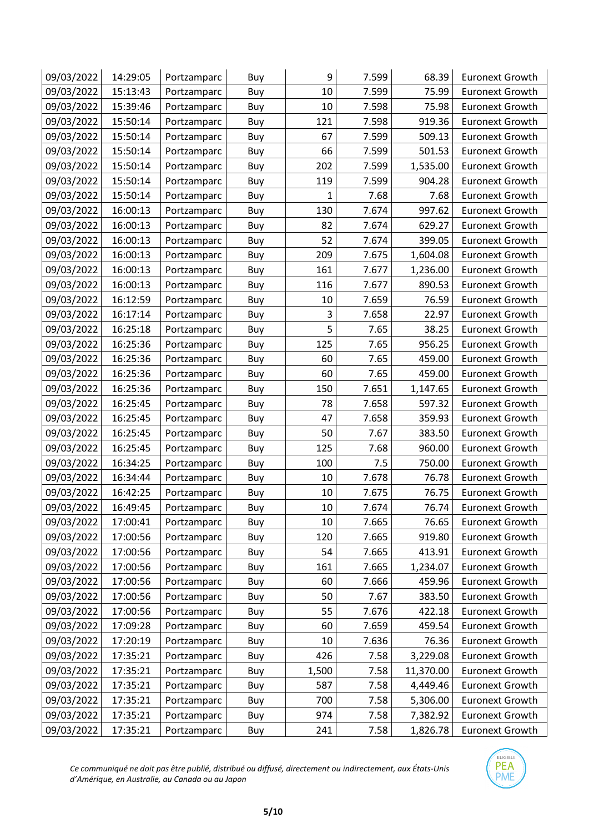| 09/03/2022 | 14:29:05 | Portzamparc | Buy | 9     | 7.599 | 68.39     | <b>Euronext Growth</b> |
|------------|----------|-------------|-----|-------|-------|-----------|------------------------|
| 09/03/2022 | 15:13:43 | Portzamparc | Buy | 10    | 7.599 | 75.99     | <b>Euronext Growth</b> |
| 09/03/2022 | 15:39:46 | Portzamparc | Buy | 10    | 7.598 | 75.98     | <b>Euronext Growth</b> |
| 09/03/2022 | 15:50:14 | Portzamparc | Buy | 121   | 7.598 | 919.36    | <b>Euronext Growth</b> |
| 09/03/2022 | 15:50:14 | Portzamparc | Buy | 67    | 7.599 | 509.13    | <b>Euronext Growth</b> |
| 09/03/2022 | 15:50:14 | Portzamparc | Buy | 66    | 7.599 | 501.53    | <b>Euronext Growth</b> |
| 09/03/2022 | 15:50:14 | Portzamparc | Buy | 202   | 7.599 | 1,535.00  | <b>Euronext Growth</b> |
| 09/03/2022 | 15:50:14 | Portzamparc | Buy | 119   | 7.599 | 904.28    | <b>Euronext Growth</b> |
| 09/03/2022 | 15:50:14 | Portzamparc | Buy | 1     | 7.68  | 7.68      | <b>Euronext Growth</b> |
| 09/03/2022 | 16:00:13 | Portzamparc | Buy | 130   | 7.674 | 997.62    | <b>Euronext Growth</b> |
| 09/03/2022 | 16:00:13 | Portzamparc | Buy | 82    | 7.674 | 629.27    | <b>Euronext Growth</b> |
| 09/03/2022 | 16:00:13 | Portzamparc | Buy | 52    | 7.674 | 399.05    | <b>Euronext Growth</b> |
| 09/03/2022 | 16:00:13 | Portzamparc | Buy | 209   | 7.675 | 1,604.08  | <b>Euronext Growth</b> |
| 09/03/2022 | 16:00:13 | Portzamparc | Buy | 161   | 7.677 | 1,236.00  | <b>Euronext Growth</b> |
| 09/03/2022 | 16:00:13 | Portzamparc | Buy | 116   | 7.677 | 890.53    | <b>Euronext Growth</b> |
| 09/03/2022 | 16:12:59 | Portzamparc | Buy | 10    | 7.659 | 76.59     | <b>Euronext Growth</b> |
| 09/03/2022 | 16:17:14 | Portzamparc | Buy | 3     | 7.658 | 22.97     | <b>Euronext Growth</b> |
| 09/03/2022 | 16:25:18 | Portzamparc | Buy | 5     | 7.65  | 38.25     | <b>Euronext Growth</b> |
| 09/03/2022 | 16:25:36 | Portzamparc | Buy | 125   | 7.65  | 956.25    | <b>Euronext Growth</b> |
| 09/03/2022 | 16:25:36 | Portzamparc | Buy | 60    | 7.65  | 459.00    | <b>Euronext Growth</b> |
| 09/03/2022 | 16:25:36 | Portzamparc | Buy | 60    | 7.65  | 459.00    | <b>Euronext Growth</b> |
| 09/03/2022 | 16:25:36 | Portzamparc | Buy | 150   | 7.651 | 1,147.65  | <b>Euronext Growth</b> |
| 09/03/2022 | 16:25:45 | Portzamparc | Buy | 78    | 7.658 | 597.32    | <b>Euronext Growth</b> |
| 09/03/2022 | 16:25:45 | Portzamparc | Buy | 47    | 7.658 | 359.93    | <b>Euronext Growth</b> |
| 09/03/2022 | 16:25:45 | Portzamparc | Buy | 50    | 7.67  | 383.50    | <b>Euronext Growth</b> |
| 09/03/2022 | 16:25:45 | Portzamparc | Buy | 125   | 7.68  | 960.00    | <b>Euronext Growth</b> |
| 09/03/2022 | 16:34:25 | Portzamparc | Buy | 100   | 7.5   | 750.00    | <b>Euronext Growth</b> |
| 09/03/2022 | 16:34:44 | Portzamparc | Buy | 10    | 7.678 | 76.78     | <b>Euronext Growth</b> |
| 09/03/2022 | 16:42:25 | Portzamparc | Buy | 10    | 7.675 | 76.75     | <b>Euronext Growth</b> |
| 09/03/2022 | 16:49:45 | Portzamparc | Buy | 10    | 7.674 | 76.74     | <b>Euronext Growth</b> |
| 09/03/2022 | 17:00:41 | Portzamparc | Buy | 10    | 7.665 | 76.65     | <b>Euronext Growth</b> |
| 09/03/2022 | 17:00:56 | Portzamparc | Buy | 120   | 7.665 | 919.80    | <b>Euronext Growth</b> |
| 09/03/2022 | 17:00:56 | Portzamparc | Buy | 54    | 7.665 | 413.91    | <b>Euronext Growth</b> |
| 09/03/2022 | 17:00:56 | Portzamparc | Buy | 161   | 7.665 | 1,234.07  | <b>Euronext Growth</b> |
| 09/03/2022 | 17:00:56 | Portzamparc | Buy | 60    | 7.666 | 459.96    | <b>Euronext Growth</b> |
| 09/03/2022 | 17:00:56 | Portzamparc | Buy | 50    | 7.67  | 383.50    | <b>Euronext Growth</b> |
| 09/03/2022 | 17:00:56 | Portzamparc | Buy | 55    | 7.676 | 422.18    | <b>Euronext Growth</b> |
| 09/03/2022 | 17:09:28 | Portzamparc | Buy | 60    | 7.659 | 459.54    | <b>Euronext Growth</b> |
| 09/03/2022 | 17:20:19 | Portzamparc | Buy | 10    | 7.636 | 76.36     | <b>Euronext Growth</b> |
| 09/03/2022 | 17:35:21 | Portzamparc | Buy | 426   | 7.58  | 3,229.08  | <b>Euronext Growth</b> |
| 09/03/2022 | 17:35:21 | Portzamparc | Buy | 1,500 | 7.58  | 11,370.00 | <b>Euronext Growth</b> |
| 09/03/2022 | 17:35:21 | Portzamparc | Buy | 587   | 7.58  | 4,449.46  | <b>Euronext Growth</b> |
| 09/03/2022 | 17:35:21 | Portzamparc | Buy | 700   | 7.58  | 5,306.00  | <b>Euronext Growth</b> |
| 09/03/2022 | 17:35:21 | Portzamparc | Buy | 974   | 7.58  | 7,382.92  | <b>Euronext Growth</b> |
| 09/03/2022 | 17:35:21 | Portzamparc | Buy | 241   | 7.58  | 1,826.78  | <b>Euronext Growth</b> |

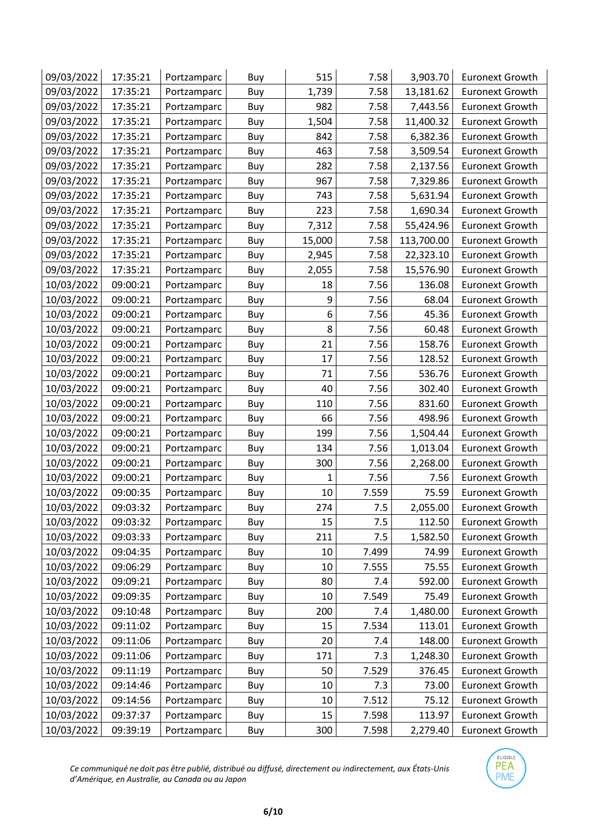| 09/03/2022 | 17:35:21 | Portzamparc | Buy | 515    | 7.58  | 3,903.70   | <b>Euronext Growth</b> |
|------------|----------|-------------|-----|--------|-------|------------|------------------------|
| 09/03/2022 | 17:35:21 | Portzamparc | Buy | 1,739  | 7.58  | 13,181.62  | <b>Euronext Growth</b> |
| 09/03/2022 | 17:35:21 | Portzamparc | Buy | 982    | 7.58  | 7,443.56   | <b>Euronext Growth</b> |
| 09/03/2022 | 17:35:21 | Portzamparc | Buy | 1,504  | 7.58  | 11,400.32  | <b>Euronext Growth</b> |
| 09/03/2022 | 17:35:21 | Portzamparc | Buy | 842    | 7.58  | 6,382.36   | <b>Euronext Growth</b> |
| 09/03/2022 | 17:35:21 | Portzamparc | Buy | 463    | 7.58  | 3,509.54   | <b>Euronext Growth</b> |
| 09/03/2022 | 17:35:21 | Portzamparc | Buy | 282    | 7.58  | 2,137.56   | <b>Euronext Growth</b> |
| 09/03/2022 | 17:35:21 | Portzamparc | Buy | 967    | 7.58  | 7,329.86   | <b>Euronext Growth</b> |
| 09/03/2022 | 17:35:21 | Portzamparc | Buy | 743    | 7.58  | 5,631.94   | <b>Euronext Growth</b> |
| 09/03/2022 | 17:35:21 | Portzamparc | Buy | 223    | 7.58  | 1,690.34   | <b>Euronext Growth</b> |
| 09/03/2022 | 17:35:21 | Portzamparc | Buy | 7,312  | 7.58  | 55,424.96  | <b>Euronext Growth</b> |
| 09/03/2022 | 17:35:21 | Portzamparc | Buy | 15,000 | 7.58  | 113,700.00 | <b>Euronext Growth</b> |
| 09/03/2022 | 17:35:21 | Portzamparc | Buy | 2,945  | 7.58  | 22,323.10  | <b>Euronext Growth</b> |
| 09/03/2022 | 17:35:21 | Portzamparc | Buy | 2,055  | 7.58  | 15,576.90  | <b>Euronext Growth</b> |
| 10/03/2022 | 09:00:21 | Portzamparc | Buy | 18     | 7.56  | 136.08     | <b>Euronext Growth</b> |
| 10/03/2022 | 09:00:21 | Portzamparc | Buy | 9      | 7.56  | 68.04      | <b>Euronext Growth</b> |
| 10/03/2022 | 09:00:21 | Portzamparc | Buy | 6      | 7.56  | 45.36      | <b>Euronext Growth</b> |
| 10/03/2022 | 09:00:21 | Portzamparc | Buy | 8      | 7.56  | 60.48      | <b>Euronext Growth</b> |
| 10/03/2022 | 09:00:21 | Portzamparc | Buy | 21     | 7.56  | 158.76     | <b>Euronext Growth</b> |
| 10/03/2022 | 09:00:21 | Portzamparc | Buy | 17     | 7.56  | 128.52     | <b>Euronext Growth</b> |
| 10/03/2022 | 09:00:21 | Portzamparc | Buy | 71     | 7.56  | 536.76     | <b>Euronext Growth</b> |
| 10/03/2022 | 09:00:21 | Portzamparc | Buy | 40     | 7.56  | 302.40     | <b>Euronext Growth</b> |
| 10/03/2022 | 09:00:21 | Portzamparc | Buy | 110    | 7.56  | 831.60     | <b>Euronext Growth</b> |
| 10/03/2022 | 09:00:21 | Portzamparc | Buy | 66     | 7.56  | 498.96     | <b>Euronext Growth</b> |
| 10/03/2022 | 09:00:21 | Portzamparc | Buy | 199    | 7.56  | 1,504.44   | <b>Euronext Growth</b> |
| 10/03/2022 | 09:00:21 | Portzamparc | Buy | 134    | 7.56  | 1,013.04   | <b>Euronext Growth</b> |
| 10/03/2022 | 09:00:21 | Portzamparc | Buy | 300    | 7.56  | 2,268.00   | <b>Euronext Growth</b> |
| 10/03/2022 | 09:00:21 | Portzamparc | Buy | 1      | 7.56  | 7.56       | <b>Euronext Growth</b> |
| 10/03/2022 | 09:00:35 | Portzamparc | Buy | 10     | 7.559 | 75.59      | <b>Euronext Growth</b> |
| 10/03/2022 | 09:03:32 | Portzamparc | Buy | 274    | 7.5   | 2,055.00   | <b>Euronext Growth</b> |
| 10/03/2022 | 09:03:32 | Portzamparc | Buy | 15     | 7.5   | 112.50     | <b>Euronext Growth</b> |
| 10/03/2022 | 09:03:33 | Portzamparc | Buy | 211    | 7.5   | 1,582.50   | <b>Euronext Growth</b> |
| 10/03/2022 | 09:04:35 | Portzamparc | Buy | 10     | 7.499 | 74.99      | <b>Euronext Growth</b> |
| 10/03/2022 | 09:06:29 | Portzamparc | Buy | 10     | 7.555 | 75.55      | <b>Euronext Growth</b> |
| 10/03/2022 | 09:09:21 | Portzamparc | Buy | 80     | 7.4   | 592.00     | <b>Euronext Growth</b> |
| 10/03/2022 | 09:09:35 | Portzamparc | Buy | 10     | 7.549 | 75.49      | <b>Euronext Growth</b> |
| 10/03/2022 | 09:10:48 | Portzamparc | Buy | 200    | 7.4   | 1,480.00   | <b>Euronext Growth</b> |
| 10/03/2022 | 09:11:02 | Portzamparc | Buy | 15     | 7.534 | 113.01     | <b>Euronext Growth</b> |
| 10/03/2022 | 09:11:06 | Portzamparc | Buy | 20     | 7.4   | 148.00     | <b>Euronext Growth</b> |
| 10/03/2022 | 09:11:06 | Portzamparc | Buy | 171    | 7.3   | 1,248.30   | <b>Euronext Growth</b> |
| 10/03/2022 | 09:11:19 | Portzamparc | Buy | 50     | 7.529 | 376.45     | <b>Euronext Growth</b> |
| 10/03/2022 | 09:14:46 | Portzamparc | Buy | 10     | 7.3   | 73.00      | <b>Euronext Growth</b> |
| 10/03/2022 | 09:14:56 | Portzamparc | Buy | 10     | 7.512 | 75.12      | <b>Euronext Growth</b> |
| 10/03/2022 | 09:37:37 | Portzamparc | Buy | 15     | 7.598 | 113.97     | <b>Euronext Growth</b> |
| 10/03/2022 | 09:39:19 | Portzamparc | Buy | 300    | 7.598 | 2,279.40   | <b>Euronext Growth</b> |

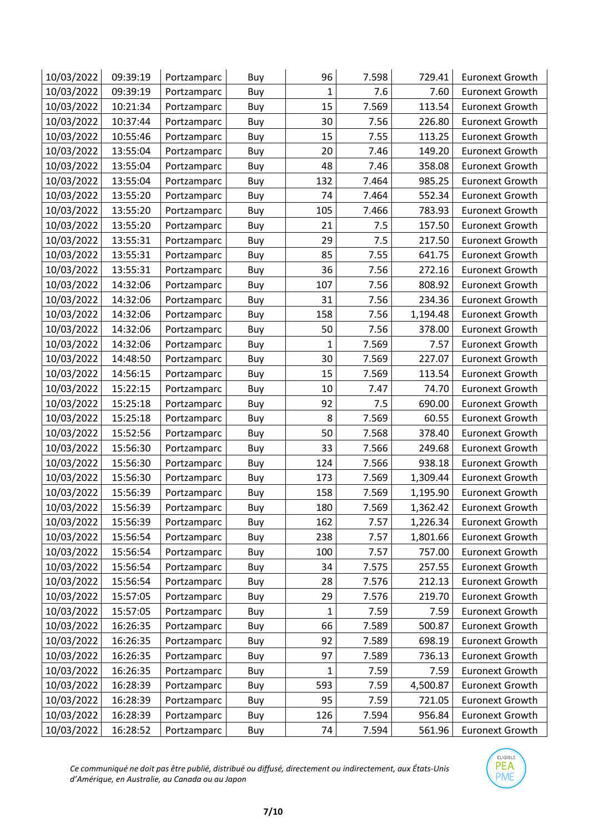| 10/03/2022 | 09:39:19 | Portzamparc | Buy | 96           | 7.598 | 729.41   | <b>Euronext Growth</b> |
|------------|----------|-------------|-----|--------------|-------|----------|------------------------|
| 10/03/2022 | 09:39:19 | Portzamparc | Buy | $\mathbf{1}$ | 7.6   | 7.60     | <b>Euronext Growth</b> |
| 10/03/2022 | 10:21:34 | Portzamparc | Buy | 15           | 7.569 | 113.54   | <b>Euronext Growth</b> |
| 10/03/2022 | 10:37:44 | Portzamparc | Buy | 30           | 7.56  | 226.80   | <b>Euronext Growth</b> |
| 10/03/2022 | 10:55:46 | Portzamparc | Buy | 15           | 7.55  | 113.25   | <b>Euronext Growth</b> |
| 10/03/2022 | 13:55:04 | Portzamparc | Buy | 20           | 7.46  | 149.20   | <b>Euronext Growth</b> |
| 10/03/2022 | 13:55:04 | Portzamparc | Buy | 48           | 7.46  | 358.08   | <b>Euronext Growth</b> |
| 10/03/2022 | 13:55:04 | Portzamparc | Buy | 132          | 7.464 | 985.25   | <b>Euronext Growth</b> |
| 10/03/2022 | 13:55:20 | Portzamparc | Buy | 74           | 7.464 | 552.34   | <b>Euronext Growth</b> |
| 10/03/2022 | 13:55:20 | Portzamparc | Buy | 105          | 7.466 | 783.93   | <b>Euronext Growth</b> |
| 10/03/2022 | 13:55:20 | Portzamparc | Buy | 21           | 7.5   | 157.50   | <b>Euronext Growth</b> |
| 10/03/2022 | 13:55:31 | Portzamparc | Buy | 29           | 7.5   | 217.50   | <b>Euronext Growth</b> |
| 10/03/2022 | 13:55:31 | Portzamparc | Buy | 85           | 7.55  | 641.75   | <b>Euronext Growth</b> |
| 10/03/2022 | 13:55:31 | Portzamparc | Buy | 36           | 7.56  | 272.16   | <b>Euronext Growth</b> |
| 10/03/2022 | 14:32:06 | Portzamparc | Buy | 107          | 7.56  | 808.92   | <b>Euronext Growth</b> |
| 10/03/2022 | 14:32:06 | Portzamparc | Buy | 31           | 7.56  | 234.36   | <b>Euronext Growth</b> |
| 10/03/2022 | 14:32:06 | Portzamparc | Buy | 158          | 7.56  | 1,194.48 | <b>Euronext Growth</b> |
| 10/03/2022 | 14:32:06 | Portzamparc | Buy | 50           | 7.56  | 378.00   | <b>Euronext Growth</b> |
| 10/03/2022 | 14:32:06 | Portzamparc | Buy | 1            | 7.569 | 7.57     | <b>Euronext Growth</b> |
| 10/03/2022 | 14:48:50 | Portzamparc | Buy | 30           | 7.569 | 227.07   | <b>Euronext Growth</b> |
| 10/03/2022 | 14:56:15 | Portzamparc | Buy | 15           | 7.569 | 113.54   | <b>Euronext Growth</b> |
| 10/03/2022 | 15:22:15 | Portzamparc | Buy | 10           | 7.47  | 74.70    | <b>Euronext Growth</b> |
| 10/03/2022 | 15:25:18 | Portzamparc | Buy | 92           | 7.5   | 690.00   | <b>Euronext Growth</b> |
| 10/03/2022 | 15:25:18 | Portzamparc | Buy | 8            | 7.569 | 60.55    | <b>Euronext Growth</b> |
| 10/03/2022 | 15:52:56 | Portzamparc | Buy | 50           | 7.568 | 378.40   | <b>Euronext Growth</b> |
| 10/03/2022 | 15:56:30 | Portzamparc | Buy | 33           | 7.566 | 249.68   | <b>Euronext Growth</b> |
| 10/03/2022 | 15:56:30 | Portzamparc | Buy | 124          | 7.566 | 938.18   | <b>Euronext Growth</b> |
| 10/03/2022 | 15:56:30 | Portzamparc | Buy | 173          | 7.569 | 1,309.44 | <b>Euronext Growth</b> |
| 10/03/2022 | 15:56:39 | Portzamparc | Buy | 158          | 7.569 | 1,195.90 | <b>Euronext Growth</b> |
| 10/03/2022 | 15:56:39 | Portzamparc | Buy | 180          | 7.569 | 1,362.42 | <b>Euronext Growth</b> |
| 10/03/2022 | 15:56:39 | Portzamparc | Buy | 162          | 7.57  | 1,226.34 | <b>Euronext Growth</b> |
| 10/03/2022 | 15:56:54 | Portzamparc | Buy | 238          | 7.57  | 1,801.66 | <b>Euronext Growth</b> |
| 10/03/2022 | 15:56:54 | Portzamparc | Buy | 100          | 7.57  | 757.00   | <b>Euronext Growth</b> |
| 10/03/2022 | 15:56:54 | Portzamparc | Buy | 34           | 7.575 | 257.55   | <b>Euronext Growth</b> |
| 10/03/2022 | 15:56:54 | Portzamparc | Buy | 28           | 7.576 | 212.13   | <b>Euronext Growth</b> |
| 10/03/2022 | 15:57:05 | Portzamparc | Buy | 29           | 7.576 | 219.70   | <b>Euronext Growth</b> |
| 10/03/2022 | 15:57:05 | Portzamparc | Buy | 1            | 7.59  | 7.59     | <b>Euronext Growth</b> |
| 10/03/2022 | 16:26:35 | Portzamparc | Buy | 66           | 7.589 | 500.87   | <b>Euronext Growth</b> |
| 10/03/2022 | 16:26:35 | Portzamparc | Buy | 92           | 7.589 | 698.19   | <b>Euronext Growth</b> |
| 10/03/2022 | 16:26:35 | Portzamparc | Buy | 97           | 7.589 | 736.13   | <b>Euronext Growth</b> |
| 10/03/2022 | 16:26:35 | Portzamparc | Buy | 1            | 7.59  | 7.59     | <b>Euronext Growth</b> |
| 10/03/2022 | 16:28:39 | Portzamparc | Buy | 593          | 7.59  | 4,500.87 | <b>Euronext Growth</b> |
| 10/03/2022 | 16:28:39 | Portzamparc | Buy | 95           | 7.59  | 721.05   | <b>Euronext Growth</b> |
| 10/03/2022 | 16:28:39 | Portzamparc | Buy | 126          | 7.594 | 956.84   | <b>Euronext Growth</b> |
| 10/03/2022 | 16:28:52 | Portzamparc | Buy | 74           | 7.594 | 561.96   | <b>Euronext Growth</b> |

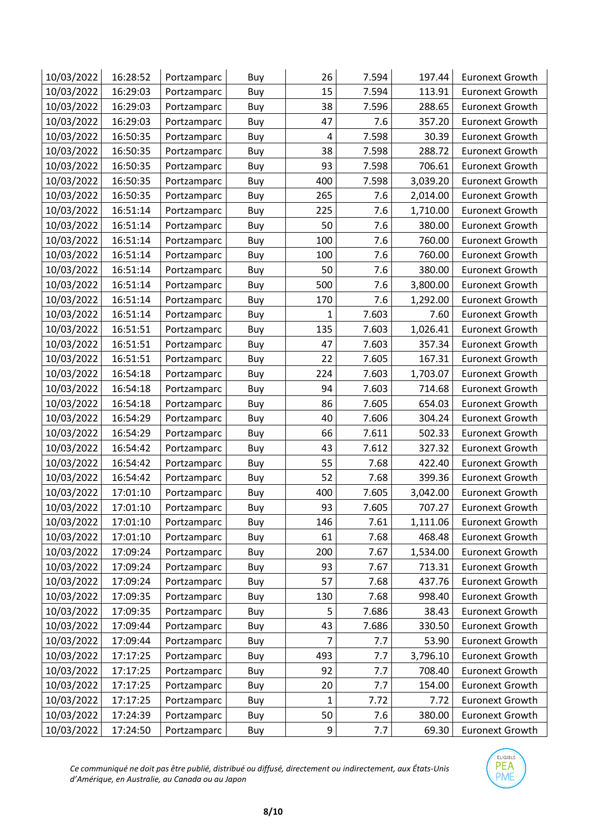| 10/03/2022 | 16:28:52 | Portzamparc | Buy | 26  | 7.594 | 197.44   | <b>Euronext Growth</b> |
|------------|----------|-------------|-----|-----|-------|----------|------------------------|
| 10/03/2022 | 16:29:03 | Portzamparc | Buy | 15  | 7.594 | 113.91   | <b>Euronext Growth</b> |
| 10/03/2022 | 16:29:03 | Portzamparc | Buy | 38  | 7.596 | 288.65   | <b>Euronext Growth</b> |
| 10/03/2022 | 16:29:03 | Portzamparc | Buy | 47  | 7.6   | 357.20   | <b>Euronext Growth</b> |
| 10/03/2022 | 16:50:35 | Portzamparc | Buy | 4   | 7.598 | 30.39    | <b>Euronext Growth</b> |
| 10/03/2022 | 16:50:35 | Portzamparc | Buy | 38  | 7.598 | 288.72   | <b>Euronext Growth</b> |
| 10/03/2022 | 16:50:35 | Portzamparc | Buy | 93  | 7.598 | 706.61   | <b>Euronext Growth</b> |
| 10/03/2022 | 16:50:35 | Portzamparc | Buy | 400 | 7.598 | 3,039.20 | <b>Euronext Growth</b> |
| 10/03/2022 | 16:50:35 | Portzamparc | Buy | 265 | 7.6   | 2,014.00 | <b>Euronext Growth</b> |
| 10/03/2022 | 16:51:14 | Portzamparc | Buy | 225 | 7.6   | 1,710.00 | <b>Euronext Growth</b> |
| 10/03/2022 | 16:51:14 | Portzamparc | Buy | 50  | 7.6   | 380.00   | <b>Euronext Growth</b> |
| 10/03/2022 | 16:51:14 | Portzamparc | Buy | 100 | 7.6   | 760.00   | <b>Euronext Growth</b> |
| 10/03/2022 | 16:51:14 | Portzamparc | Buy | 100 | 7.6   | 760.00   | <b>Euronext Growth</b> |
| 10/03/2022 | 16:51:14 | Portzamparc | Buy | 50  | 7.6   | 380.00   | <b>Euronext Growth</b> |
| 10/03/2022 | 16:51:14 | Portzamparc | Buy | 500 | 7.6   | 3,800.00 | <b>Euronext Growth</b> |
| 10/03/2022 | 16:51:14 | Portzamparc | Buy | 170 | 7.6   | 1,292.00 | <b>Euronext Growth</b> |
| 10/03/2022 | 16:51:14 | Portzamparc | Buy | 1   | 7.603 | 7.60     | <b>Euronext Growth</b> |
| 10/03/2022 | 16:51:51 | Portzamparc | Buy | 135 | 7.603 | 1,026.41 | <b>Euronext Growth</b> |
| 10/03/2022 | 16:51:51 | Portzamparc | Buy | 47  | 7.603 | 357.34   | <b>Euronext Growth</b> |
| 10/03/2022 | 16:51:51 | Portzamparc | Buy | 22  | 7.605 | 167.31   | <b>Euronext Growth</b> |
| 10/03/2022 | 16:54:18 | Portzamparc | Buy | 224 | 7.603 | 1,703.07 | <b>Euronext Growth</b> |
| 10/03/2022 | 16:54:18 | Portzamparc | Buy | 94  | 7.603 | 714.68   | <b>Euronext Growth</b> |
| 10/03/2022 | 16:54:18 | Portzamparc | Buy | 86  | 7.605 | 654.03   | <b>Euronext Growth</b> |
| 10/03/2022 | 16:54:29 | Portzamparc | Buy | 40  | 7.606 | 304.24   | <b>Euronext Growth</b> |
| 10/03/2022 | 16:54:29 | Portzamparc | Buy | 66  | 7.611 | 502.33   | <b>Euronext Growth</b> |
| 10/03/2022 | 16:54:42 | Portzamparc | Buy | 43  | 7.612 | 327.32   | <b>Euronext Growth</b> |
| 10/03/2022 | 16:54:42 | Portzamparc | Buy | 55  | 7.68  | 422.40   | <b>Euronext Growth</b> |
| 10/03/2022 | 16:54:42 | Portzamparc | Buy | 52  | 7.68  | 399.36   | <b>Euronext Growth</b> |
| 10/03/2022 | 17:01:10 | Portzamparc | Buy | 400 | 7.605 | 3,042.00 | <b>Euronext Growth</b> |
| 10/03/2022 | 17:01:10 | Portzamparc | Buy | 93  | 7.605 | 707.27   | <b>Euronext Growth</b> |
| 10/03/2022 | 17:01:10 | Portzamparc | Buy | 146 | 7.61  | 1,111.06 | <b>Euronext Growth</b> |
| 10/03/2022 | 17:01:10 | Portzamparc | Buy | 61  | 7.68  | 468.48   | <b>Euronext Growth</b> |
| 10/03/2022 | 17:09:24 | Portzamparc | Buy | 200 | 7.67  | 1,534.00 | <b>Euronext Growth</b> |
| 10/03/2022 | 17:09:24 | Portzamparc | Buy | 93  | 7.67  | 713.31   | <b>Euronext Growth</b> |
| 10/03/2022 | 17:09:24 | Portzamparc | Buy | 57  | 7.68  | 437.76   | <b>Euronext Growth</b> |
| 10/03/2022 | 17:09:35 | Portzamparc | Buy | 130 | 7.68  | 998.40   | <b>Euronext Growth</b> |
| 10/03/2022 | 17:09:35 | Portzamparc | Buy | 5   | 7.686 | 38.43    | <b>Euronext Growth</b> |
| 10/03/2022 | 17:09:44 | Portzamparc | Buy | 43  | 7.686 | 330.50   | <b>Euronext Growth</b> |
| 10/03/2022 | 17:09:44 | Portzamparc | Buy | 7   | 7.7   | 53.90    | <b>Euronext Growth</b> |
| 10/03/2022 | 17:17:25 | Portzamparc | Buy | 493 | 7.7   | 3,796.10 | <b>Euronext Growth</b> |
| 10/03/2022 | 17:17:25 | Portzamparc | Buy | 92  | 7.7   | 708.40   | <b>Euronext Growth</b> |
| 10/03/2022 | 17:17:25 | Portzamparc | Buy | 20  | 7.7   | 154.00   | <b>Euronext Growth</b> |
| 10/03/2022 | 17:17:25 | Portzamparc | Buy | 1   | 7.72  | 7.72     | <b>Euronext Growth</b> |
| 10/03/2022 | 17:24:39 | Portzamparc | Buy | 50  | 7.6   | 380.00   | <b>Euronext Growth</b> |
| 10/03/2022 | 17:24:50 | Portzamparc | Buy | 9   | 7.7   | 69.30    | <b>Euronext Growth</b> |

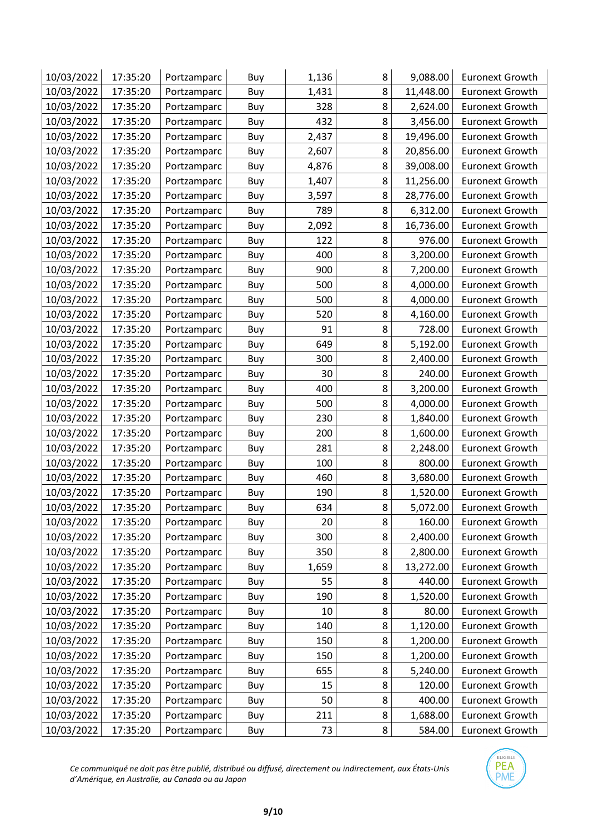| 10/03/2022 | 17:35:20 | Portzamparc | Buy | 1,136 | 8 | 9,088.00  | <b>Euronext Growth</b> |
|------------|----------|-------------|-----|-------|---|-----------|------------------------|
| 10/03/2022 | 17:35:20 | Portzamparc | Buy | 1,431 | 8 | 11,448.00 | <b>Euronext Growth</b> |
| 10/03/2022 | 17:35:20 | Portzamparc | Buy | 328   | 8 | 2,624.00  | <b>Euronext Growth</b> |
| 10/03/2022 | 17:35:20 | Portzamparc | Buy | 432   | 8 | 3,456.00  | <b>Euronext Growth</b> |
| 10/03/2022 | 17:35:20 | Portzamparc | Buy | 2,437 | 8 | 19,496.00 | <b>Euronext Growth</b> |
| 10/03/2022 | 17:35:20 | Portzamparc | Buy | 2,607 | 8 | 20,856.00 | <b>Euronext Growth</b> |
| 10/03/2022 | 17:35:20 | Portzamparc | Buy | 4,876 | 8 | 39,008.00 | <b>Euronext Growth</b> |
| 10/03/2022 | 17:35:20 | Portzamparc | Buy | 1,407 | 8 | 11,256.00 | <b>Euronext Growth</b> |
| 10/03/2022 | 17:35:20 | Portzamparc | Buy | 3,597 | 8 | 28,776.00 | <b>Euronext Growth</b> |
| 10/03/2022 | 17:35:20 | Portzamparc | Buy | 789   | 8 | 6,312.00  | <b>Euronext Growth</b> |
| 10/03/2022 | 17:35:20 | Portzamparc | Buy | 2,092 | 8 | 16,736.00 | <b>Euronext Growth</b> |
| 10/03/2022 | 17:35:20 | Portzamparc | Buy | 122   | 8 | 976.00    | <b>Euronext Growth</b> |
| 10/03/2022 | 17:35:20 | Portzamparc | Buy | 400   | 8 | 3,200.00  | <b>Euronext Growth</b> |
| 10/03/2022 | 17:35:20 | Portzamparc | Buy | 900   | 8 | 7,200.00  | <b>Euronext Growth</b> |
| 10/03/2022 | 17:35:20 | Portzamparc | Buy | 500   | 8 | 4,000.00  | <b>Euronext Growth</b> |
| 10/03/2022 | 17:35:20 | Portzamparc | Buy | 500   | 8 | 4,000.00  | <b>Euronext Growth</b> |
| 10/03/2022 | 17:35:20 | Portzamparc | Buy | 520   | 8 | 4,160.00  | <b>Euronext Growth</b> |
| 10/03/2022 | 17:35:20 | Portzamparc | Buy | 91    | 8 | 728.00    | <b>Euronext Growth</b> |
| 10/03/2022 | 17:35:20 | Portzamparc | Buy | 649   | 8 | 5,192.00  | <b>Euronext Growth</b> |
| 10/03/2022 | 17:35:20 | Portzamparc | Buy | 300   | 8 | 2,400.00  | <b>Euronext Growth</b> |
| 10/03/2022 | 17:35:20 | Portzamparc | Buy | 30    | 8 | 240.00    | <b>Euronext Growth</b> |
| 10/03/2022 | 17:35:20 | Portzamparc | Buy | 400   | 8 | 3,200.00  | <b>Euronext Growth</b> |
| 10/03/2022 | 17:35:20 | Portzamparc | Buy | 500   | 8 | 4,000.00  | <b>Euronext Growth</b> |
| 10/03/2022 | 17:35:20 | Portzamparc | Buy | 230   | 8 | 1,840.00  | <b>Euronext Growth</b> |
| 10/03/2022 | 17:35:20 | Portzamparc | Buy | 200   | 8 | 1,600.00  | <b>Euronext Growth</b> |
| 10/03/2022 | 17:35:20 | Portzamparc | Buy | 281   | 8 | 2,248.00  | <b>Euronext Growth</b> |
| 10/03/2022 | 17:35:20 | Portzamparc | Buy | 100   | 8 | 800.00    | <b>Euronext Growth</b> |
| 10/03/2022 | 17:35:20 | Portzamparc | Buy | 460   | 8 | 3,680.00  | <b>Euronext Growth</b> |
| 10/03/2022 | 17:35:20 | Portzamparc | Buy | 190   | 8 | 1,520.00  | <b>Euronext Growth</b> |
| 10/03/2022 | 17:35:20 | Portzamparc | Buy | 634   | 8 | 5,072.00  | <b>Euronext Growth</b> |
| 10/03/2022 | 17:35:20 | Portzamparc | Buy | 20    | 8 | 160.00    | <b>Euronext Growth</b> |
| 10/03/2022 | 17:35:20 | Portzamparc | Buy | 300   | 8 | 2,400.00  | <b>Euronext Growth</b> |
| 10/03/2022 | 17:35:20 | Portzamparc | Buy | 350   | 8 | 2,800.00  | <b>Euronext Growth</b> |
| 10/03/2022 | 17:35:20 | Portzamparc | Buy | 1,659 | 8 | 13,272.00 | <b>Euronext Growth</b> |
| 10/03/2022 | 17:35:20 | Portzamparc | Buy | 55    | 8 | 440.00    | <b>Euronext Growth</b> |
| 10/03/2022 | 17:35:20 | Portzamparc | Buy | 190   | 8 | 1,520.00  | <b>Euronext Growth</b> |
| 10/03/2022 | 17:35:20 | Portzamparc | Buy | 10    | 8 | 80.00     | <b>Euronext Growth</b> |
| 10/03/2022 | 17:35:20 | Portzamparc | Buy | 140   | 8 | 1,120.00  | <b>Euronext Growth</b> |
| 10/03/2022 | 17:35:20 | Portzamparc | Buy | 150   | 8 | 1,200.00  | <b>Euronext Growth</b> |
| 10/03/2022 | 17:35:20 | Portzamparc | Buy | 150   | 8 | 1,200.00  | <b>Euronext Growth</b> |
| 10/03/2022 | 17:35:20 | Portzamparc | Buy | 655   | 8 | 5,240.00  | <b>Euronext Growth</b> |
| 10/03/2022 | 17:35:20 | Portzamparc | Buy | 15    | 8 | 120.00    | <b>Euronext Growth</b> |
| 10/03/2022 | 17:35:20 | Portzamparc | Buy | 50    | 8 | 400.00    | <b>Euronext Growth</b> |
| 10/03/2022 | 17:35:20 | Portzamparc | Buy | 211   | 8 | 1,688.00  | <b>Euronext Growth</b> |
| 10/03/2022 | 17:35:20 | Portzamparc | Buy | 73    | 8 | 584.00    | <b>Euronext Growth</b> |

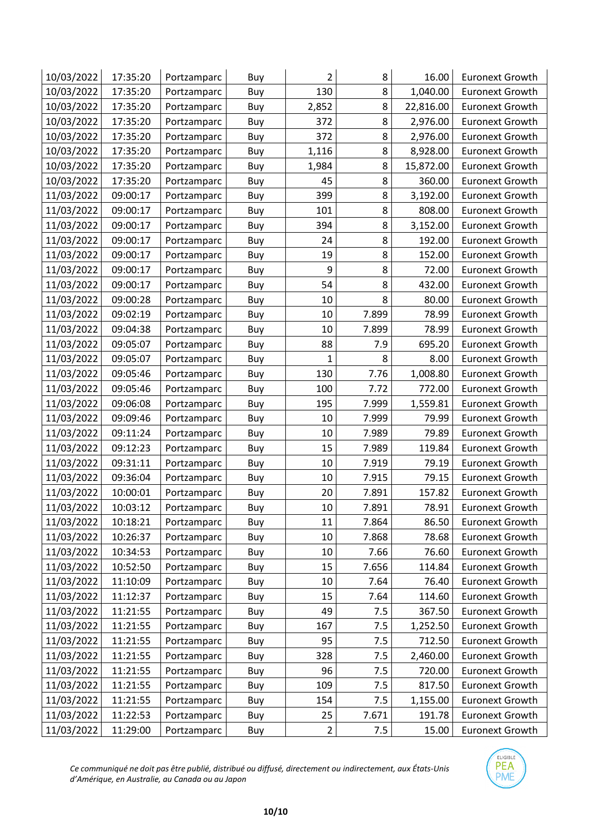| 10/03/2022 | 17:35:20 | Portzamparc | Buy | $\overline{2}$ | 8     | 16.00     | <b>Euronext Growth</b> |
|------------|----------|-------------|-----|----------------|-------|-----------|------------------------|
| 10/03/2022 | 17:35:20 | Portzamparc | Buy | 130            | 8     | 1,040.00  | <b>Euronext Growth</b> |
| 10/03/2022 | 17:35:20 | Portzamparc | Buy | 2,852          | 8     | 22,816.00 | <b>Euronext Growth</b> |
| 10/03/2022 | 17:35:20 | Portzamparc | Buy | 372            | 8     | 2,976.00  | <b>Euronext Growth</b> |
| 10/03/2022 | 17:35:20 | Portzamparc | Buy | 372            | 8     | 2,976.00  | <b>Euronext Growth</b> |
| 10/03/2022 | 17:35:20 | Portzamparc | Buy | 1,116          | 8     | 8,928.00  | <b>Euronext Growth</b> |
| 10/03/2022 | 17:35:20 | Portzamparc | Buy | 1,984          | 8     | 15,872.00 | <b>Euronext Growth</b> |
| 10/03/2022 | 17:35:20 | Portzamparc | Buy | 45             | 8     | 360.00    | <b>Euronext Growth</b> |
| 11/03/2022 | 09:00:17 | Portzamparc | Buy | 399            | 8     | 3,192.00  | <b>Euronext Growth</b> |
| 11/03/2022 | 09:00:17 | Portzamparc | Buy | 101            | 8     | 808.00    | <b>Euronext Growth</b> |
| 11/03/2022 | 09:00:17 | Portzamparc | Buy | 394            | 8     | 3,152.00  | <b>Euronext Growth</b> |
| 11/03/2022 | 09:00:17 | Portzamparc | Buy | 24             | 8     | 192.00    | <b>Euronext Growth</b> |
| 11/03/2022 | 09:00:17 | Portzamparc | Buy | 19             | 8     | 152.00    | <b>Euronext Growth</b> |
| 11/03/2022 | 09:00:17 | Portzamparc | Buy | 9              | 8     | 72.00     | <b>Euronext Growth</b> |
| 11/03/2022 | 09:00:17 | Portzamparc | Buy | 54             | 8     | 432.00    | <b>Euronext Growth</b> |
| 11/03/2022 | 09:00:28 | Portzamparc | Buy | 10             | 8     | 80.00     | <b>Euronext Growth</b> |
| 11/03/2022 | 09:02:19 | Portzamparc | Buy | 10             | 7.899 | 78.99     | <b>Euronext Growth</b> |
| 11/03/2022 | 09:04:38 | Portzamparc | Buy | 10             | 7.899 | 78.99     | <b>Euronext Growth</b> |
| 11/03/2022 | 09:05:07 | Portzamparc | Buy | 88             | 7.9   | 695.20    | <b>Euronext Growth</b> |
| 11/03/2022 | 09:05:07 | Portzamparc | Buy | $\mathbf{1}$   | 8     | 8.00      | <b>Euronext Growth</b> |
| 11/03/2022 | 09:05:46 | Portzamparc | Buy | 130            | 7.76  | 1,008.80  | <b>Euronext Growth</b> |
| 11/03/2022 | 09:05:46 | Portzamparc | Buy | 100            | 7.72  | 772.00    | <b>Euronext Growth</b> |
| 11/03/2022 | 09:06:08 | Portzamparc | Buy | 195            | 7.999 | 1,559.81  | <b>Euronext Growth</b> |
| 11/03/2022 | 09:09:46 | Portzamparc | Buy | 10             | 7.999 | 79.99     | <b>Euronext Growth</b> |
| 11/03/2022 | 09:11:24 | Portzamparc | Buy | 10             | 7.989 | 79.89     | <b>Euronext Growth</b> |
| 11/03/2022 | 09:12:23 | Portzamparc | Buy | 15             | 7.989 | 119.84    | <b>Euronext Growth</b> |
| 11/03/2022 | 09:31:11 | Portzamparc | Buy | 10             | 7.919 | 79.19     | <b>Euronext Growth</b> |
| 11/03/2022 | 09:36:04 | Portzamparc | Buy | 10             | 7.915 | 79.15     | <b>Euronext Growth</b> |
| 11/03/2022 | 10:00:01 | Portzamparc | Buy | 20             | 7.891 | 157.82    | <b>Euronext Growth</b> |
| 11/03/2022 | 10:03:12 | Portzamparc | Buy | 10             | 7.891 | 78.91     | <b>Euronext Growth</b> |
| 11/03/2022 | 10:18:21 | Portzamparc | Buy | 11             | 7.864 | 86.50     | <b>Euronext Growth</b> |
| 11/03/2022 | 10:26:37 | Portzamparc | Buy | 10             | 7.868 | 78.68     | <b>Euronext Growth</b> |
| 11/03/2022 | 10:34:53 | Portzamparc | Buy | 10             | 7.66  | 76.60     | <b>Euronext Growth</b> |
| 11/03/2022 | 10:52:50 | Portzamparc | Buy | 15             | 7.656 | 114.84    | <b>Euronext Growth</b> |
| 11/03/2022 | 11:10:09 | Portzamparc | Buy | 10             | 7.64  | 76.40     | <b>Euronext Growth</b> |
| 11/03/2022 | 11:12:37 | Portzamparc | Buy | 15             | 7.64  | 114.60    | <b>Euronext Growth</b> |
| 11/03/2022 | 11:21:55 | Portzamparc | Buy | 49             | 7.5   | 367.50    | <b>Euronext Growth</b> |
| 11/03/2022 | 11:21:55 | Portzamparc | Buy | 167            | 7.5   | 1,252.50  | <b>Euronext Growth</b> |
| 11/03/2022 | 11:21:55 | Portzamparc | Buy | 95             | 7.5   | 712.50    | <b>Euronext Growth</b> |
| 11/03/2022 | 11:21:55 | Portzamparc | Buy | 328            | 7.5   | 2,460.00  | <b>Euronext Growth</b> |
| 11/03/2022 | 11:21:55 | Portzamparc | Buy | 96             | 7.5   | 720.00    | <b>Euronext Growth</b> |
| 11/03/2022 | 11:21:55 | Portzamparc | Buy | 109            | 7.5   | 817.50    | <b>Euronext Growth</b> |
| 11/03/2022 | 11:21:55 | Portzamparc | Buy | 154            | 7.5   | 1,155.00  | <b>Euronext Growth</b> |
| 11/03/2022 | 11:22:53 | Portzamparc | Buy | 25             | 7.671 | 191.78    | <b>Euronext Growth</b> |
| 11/03/2022 | 11:29:00 | Portzamparc | Buy | $\overline{2}$ | 7.5   | 15.00     | <b>Euronext Growth</b> |

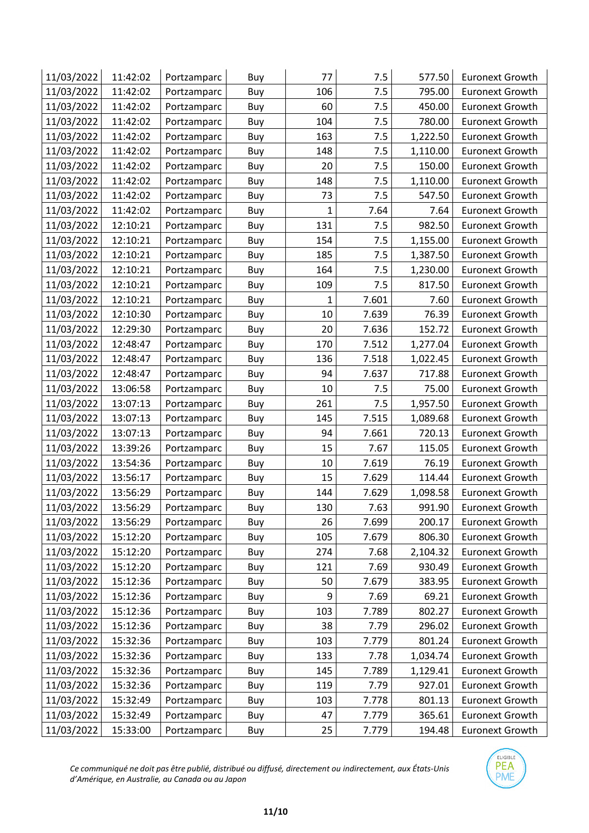| 11/03/2022 | 11:42:02 | Portzamparc | Buy | 77           | 7.5   | 577.50   | <b>Euronext Growth</b> |
|------------|----------|-------------|-----|--------------|-------|----------|------------------------|
| 11/03/2022 | 11:42:02 | Portzamparc | Buy | 106          | 7.5   | 795.00   | <b>Euronext Growth</b> |
| 11/03/2022 | 11:42:02 | Portzamparc | Buy | 60           | 7.5   | 450.00   | <b>Euronext Growth</b> |
| 11/03/2022 | 11:42:02 | Portzamparc | Buy | 104          | 7.5   | 780.00   | <b>Euronext Growth</b> |
| 11/03/2022 | 11:42:02 | Portzamparc | Buy | 163          | 7.5   | 1,222.50 | <b>Euronext Growth</b> |
| 11/03/2022 | 11:42:02 | Portzamparc | Buy | 148          | 7.5   | 1,110.00 | <b>Euronext Growth</b> |
| 11/03/2022 | 11:42:02 | Portzamparc | Buy | 20           | 7.5   | 150.00   | <b>Euronext Growth</b> |
| 11/03/2022 | 11:42:02 | Portzamparc | Buy | 148          | 7.5   | 1,110.00 | <b>Euronext Growth</b> |
| 11/03/2022 | 11:42:02 | Portzamparc | Buy | 73           | 7.5   | 547.50   | <b>Euronext Growth</b> |
| 11/03/2022 | 11:42:02 | Portzamparc | Buy | $\mathbf{1}$ | 7.64  | 7.64     | <b>Euronext Growth</b> |
| 11/03/2022 | 12:10:21 | Portzamparc | Buy | 131          | 7.5   | 982.50   | <b>Euronext Growth</b> |
| 11/03/2022 | 12:10:21 | Portzamparc | Buy | 154          | 7.5   | 1,155.00 | <b>Euronext Growth</b> |
| 11/03/2022 | 12:10:21 | Portzamparc | Buy | 185          | 7.5   | 1,387.50 | <b>Euronext Growth</b> |
| 11/03/2022 | 12:10:21 | Portzamparc | Buy | 164          | 7.5   | 1,230.00 | <b>Euronext Growth</b> |
| 11/03/2022 | 12:10:21 | Portzamparc | Buy | 109          | 7.5   | 817.50   | <b>Euronext Growth</b> |
| 11/03/2022 | 12:10:21 | Portzamparc | Buy | $\mathbf{1}$ | 7.601 | 7.60     | <b>Euronext Growth</b> |
| 11/03/2022 | 12:10:30 | Portzamparc | Buy | 10           | 7.639 | 76.39    | <b>Euronext Growth</b> |
| 11/03/2022 | 12:29:30 | Portzamparc | Buy | 20           | 7.636 | 152.72   | <b>Euronext Growth</b> |
| 11/03/2022 | 12:48:47 | Portzamparc | Buy | 170          | 7.512 | 1,277.04 | <b>Euronext Growth</b> |
| 11/03/2022 | 12:48:47 | Portzamparc | Buy | 136          | 7.518 | 1,022.45 | <b>Euronext Growth</b> |
| 11/03/2022 | 12:48:47 | Portzamparc | Buy | 94           | 7.637 | 717.88   | <b>Euronext Growth</b> |
| 11/03/2022 | 13:06:58 | Portzamparc | Buy | 10           | 7.5   | 75.00    | <b>Euronext Growth</b> |
| 11/03/2022 | 13:07:13 | Portzamparc | Buy | 261          | 7.5   | 1,957.50 | <b>Euronext Growth</b> |
| 11/03/2022 | 13:07:13 | Portzamparc | Buy | 145          | 7.515 | 1,089.68 | <b>Euronext Growth</b> |
| 11/03/2022 | 13:07:13 | Portzamparc | Buy | 94           | 7.661 | 720.13   | <b>Euronext Growth</b> |
| 11/03/2022 | 13:39:26 | Portzamparc | Buy | 15           | 7.67  | 115.05   | <b>Euronext Growth</b> |
| 11/03/2022 | 13:54:36 | Portzamparc | Buy | 10           | 7.619 | 76.19    | <b>Euronext Growth</b> |
| 11/03/2022 | 13:56:17 | Portzamparc | Buy | 15           | 7.629 | 114.44   | <b>Euronext Growth</b> |
| 11/03/2022 | 13:56:29 | Portzamparc | Buy | 144          | 7.629 | 1,098.58 | <b>Euronext Growth</b> |
| 11/03/2022 | 13:56:29 | Portzamparc | Buy | 130          | 7.63  | 991.90   | <b>Euronext Growth</b> |
| 11/03/2022 | 13:56:29 | Portzamparc | Buy | 26           | 7.699 | 200.17   | <b>Euronext Growth</b> |
| 11/03/2022 | 15:12:20 | Portzamparc | Buy | 105          | 7.679 | 806.30   | <b>Euronext Growth</b> |
| 11/03/2022 | 15:12:20 | Portzamparc | Buy | 274          | 7.68  | 2,104.32 | <b>Euronext Growth</b> |
| 11/03/2022 | 15:12:20 | Portzamparc | Buy | 121          | 7.69  | 930.49   | <b>Euronext Growth</b> |
| 11/03/2022 | 15:12:36 | Portzamparc | Buy | 50           | 7.679 | 383.95   | <b>Euronext Growth</b> |
| 11/03/2022 | 15:12:36 | Portzamparc | Buy | 9            | 7.69  | 69.21    | <b>Euronext Growth</b> |
| 11/03/2022 | 15:12:36 | Portzamparc | Buy | 103          | 7.789 | 802.27   | <b>Euronext Growth</b> |
| 11/03/2022 | 15:12:36 | Portzamparc | Buy | 38           | 7.79  | 296.02   | <b>Euronext Growth</b> |
| 11/03/2022 | 15:32:36 | Portzamparc | Buy | 103          | 7.779 | 801.24   | <b>Euronext Growth</b> |
| 11/03/2022 | 15:32:36 | Portzamparc | Buy | 133          | 7.78  | 1,034.74 | <b>Euronext Growth</b> |
| 11/03/2022 | 15:32:36 | Portzamparc | Buy | 145          | 7.789 | 1,129.41 | <b>Euronext Growth</b> |
| 11/03/2022 | 15:32:36 | Portzamparc | Buy | 119          | 7.79  | 927.01   | <b>Euronext Growth</b> |
| 11/03/2022 | 15:32:49 | Portzamparc | Buy | 103          | 7.778 | 801.13   | <b>Euronext Growth</b> |
| 11/03/2022 | 15:32:49 | Portzamparc | Buy | 47           | 7.779 | 365.61   | <b>Euronext Growth</b> |
| 11/03/2022 | 15:33:00 | Portzamparc | Buy | 25           | 7.779 | 194.48   | <b>Euronext Growth</b> |

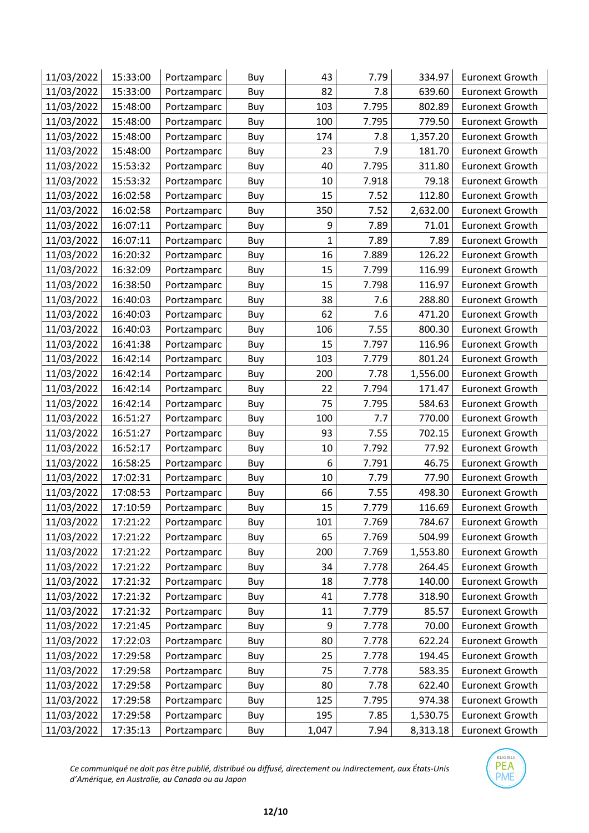| 11/03/2022 | 15:33:00 | Portzamparc | Buy | 43           | 7.79  | 334.97   | <b>Euronext Growth</b> |
|------------|----------|-------------|-----|--------------|-------|----------|------------------------|
| 11/03/2022 | 15:33:00 | Portzamparc | Buy | 82           | 7.8   | 639.60   | <b>Euronext Growth</b> |
| 11/03/2022 | 15:48:00 | Portzamparc | Buy | 103          | 7.795 | 802.89   | <b>Euronext Growth</b> |
| 11/03/2022 | 15:48:00 | Portzamparc | Buy | 100          | 7.795 | 779.50   | <b>Euronext Growth</b> |
| 11/03/2022 | 15:48:00 | Portzamparc | Buy | 174          | 7.8   | 1,357.20 | <b>Euronext Growth</b> |
| 11/03/2022 | 15:48:00 | Portzamparc | Buy | 23           | 7.9   | 181.70   | <b>Euronext Growth</b> |
| 11/03/2022 | 15:53:32 | Portzamparc | Buy | 40           | 7.795 | 311.80   | <b>Euronext Growth</b> |
| 11/03/2022 | 15:53:32 | Portzamparc | Buy | 10           | 7.918 | 79.18    | <b>Euronext Growth</b> |
| 11/03/2022 | 16:02:58 | Portzamparc | Buy | 15           | 7.52  | 112.80   | <b>Euronext Growth</b> |
| 11/03/2022 | 16:02:58 | Portzamparc | Buy | 350          | 7.52  | 2,632.00 | <b>Euronext Growth</b> |
| 11/03/2022 | 16:07:11 | Portzamparc | Buy | 9            | 7.89  | 71.01    | <b>Euronext Growth</b> |
| 11/03/2022 | 16:07:11 | Portzamparc | Buy | $\mathbf{1}$ | 7.89  | 7.89     | <b>Euronext Growth</b> |
| 11/03/2022 | 16:20:32 | Portzamparc | Buy | 16           | 7.889 | 126.22   | <b>Euronext Growth</b> |
| 11/03/2022 | 16:32:09 | Portzamparc | Buy | 15           | 7.799 | 116.99   | <b>Euronext Growth</b> |
| 11/03/2022 | 16:38:50 | Portzamparc | Buy | 15           | 7.798 | 116.97   | <b>Euronext Growth</b> |
| 11/03/2022 | 16:40:03 | Portzamparc | Buy | 38           | 7.6   | 288.80   | <b>Euronext Growth</b> |
| 11/03/2022 | 16:40:03 | Portzamparc | Buy | 62           | 7.6   | 471.20   | <b>Euronext Growth</b> |
| 11/03/2022 | 16:40:03 | Portzamparc | Buy | 106          | 7.55  | 800.30   | <b>Euronext Growth</b> |
| 11/03/2022 | 16:41:38 | Portzamparc | Buy | 15           | 7.797 | 116.96   | <b>Euronext Growth</b> |
| 11/03/2022 | 16:42:14 | Portzamparc | Buy | 103          | 7.779 | 801.24   | <b>Euronext Growth</b> |
| 11/03/2022 | 16:42:14 | Portzamparc | Buy | 200          | 7.78  | 1,556.00 | <b>Euronext Growth</b> |
| 11/03/2022 | 16:42:14 | Portzamparc | Buy | 22           | 7.794 | 171.47   | <b>Euronext Growth</b> |
| 11/03/2022 | 16:42:14 | Portzamparc | Buy | 75           | 7.795 | 584.63   | <b>Euronext Growth</b> |
| 11/03/2022 | 16:51:27 | Portzamparc | Buy | 100          | 7.7   | 770.00   | <b>Euronext Growth</b> |
| 11/03/2022 | 16:51:27 | Portzamparc | Buy | 93           | 7.55  | 702.15   | <b>Euronext Growth</b> |
| 11/03/2022 | 16:52:17 | Portzamparc | Buy | 10           | 7.792 | 77.92    | <b>Euronext Growth</b> |
| 11/03/2022 | 16:58:25 | Portzamparc | Buy | 6            | 7.791 | 46.75    | <b>Euronext Growth</b> |
| 11/03/2022 | 17:02:31 | Portzamparc | Buy | 10           | 7.79  | 77.90    | <b>Euronext Growth</b> |
| 11/03/2022 | 17:08:53 | Portzamparc | Buy | 66           | 7.55  | 498.30   | <b>Euronext Growth</b> |
| 11/03/2022 | 17:10:59 | Portzamparc | Buy | 15           | 7.779 | 116.69   | <b>Euronext Growth</b> |
| 11/03/2022 | 17:21:22 | Portzamparc | Buy | 101          | 7.769 | 784.67   | <b>Euronext Growth</b> |
| 11/03/2022 | 17:21:22 | Portzamparc | Buy | 65           | 7.769 | 504.99   | <b>Euronext Growth</b> |
| 11/03/2022 | 17:21:22 | Portzamparc | Buy | 200          | 7.769 | 1,553.80 | <b>Euronext Growth</b> |
| 11/03/2022 | 17:21:22 | Portzamparc | Buy | 34           | 7.778 | 264.45   | <b>Euronext Growth</b> |
| 11/03/2022 | 17:21:32 | Portzamparc | Buy | 18           | 7.778 | 140.00   | <b>Euronext Growth</b> |
| 11/03/2022 | 17:21:32 | Portzamparc | Buy | 41           | 7.778 | 318.90   | <b>Euronext Growth</b> |
| 11/03/2022 | 17:21:32 | Portzamparc | Buy | 11           | 7.779 | 85.57    | <b>Euronext Growth</b> |
| 11/03/2022 | 17:21:45 | Portzamparc | Buy | 9            | 7.778 | 70.00    | <b>Euronext Growth</b> |
| 11/03/2022 | 17:22:03 | Portzamparc | Buy | 80           | 7.778 | 622.24   | <b>Euronext Growth</b> |
| 11/03/2022 | 17:29:58 | Portzamparc | Buy | 25           | 7.778 | 194.45   | <b>Euronext Growth</b> |
| 11/03/2022 | 17:29:58 | Portzamparc | Buy | 75           | 7.778 | 583.35   | <b>Euronext Growth</b> |
| 11/03/2022 | 17:29:58 | Portzamparc | Buy | 80           | 7.78  | 622.40   | <b>Euronext Growth</b> |
| 11/03/2022 | 17:29:58 | Portzamparc | Buy | 125          | 7.795 | 974.38   | <b>Euronext Growth</b> |
| 11/03/2022 | 17:29:58 | Portzamparc | Buy | 195          | 7.85  | 1,530.75 | <b>Euronext Growth</b> |
| 11/03/2022 | 17:35:13 | Portzamparc | Buy | 1,047        | 7.94  | 8,313.18 | <b>Euronext Growth</b> |

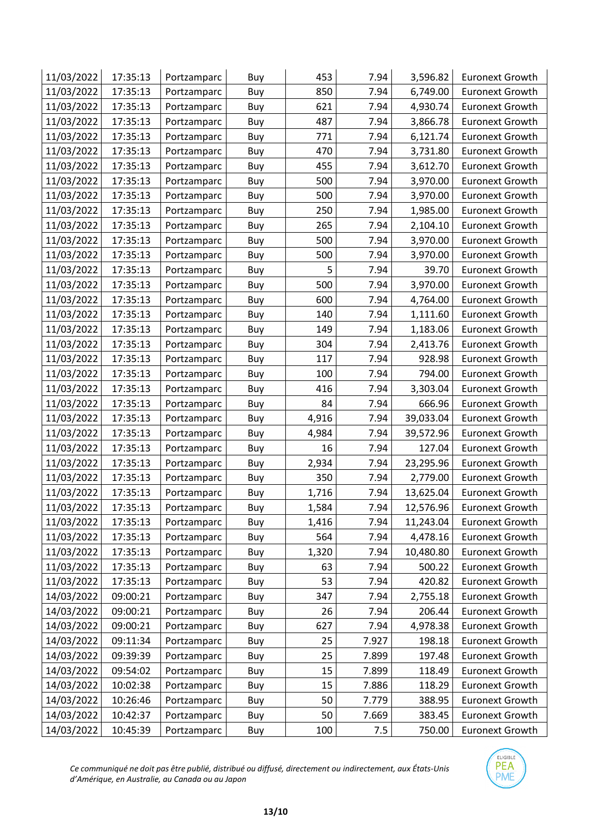| 11/03/2022 | 17:35:13 | Portzamparc | Buy | 453   | 7.94  | 3,596.82  | <b>Euronext Growth</b> |
|------------|----------|-------------|-----|-------|-------|-----------|------------------------|
| 11/03/2022 | 17:35:13 | Portzamparc | Buy | 850   | 7.94  | 6,749.00  | <b>Euronext Growth</b> |
| 11/03/2022 | 17:35:13 | Portzamparc | Buy | 621   | 7.94  | 4,930.74  | <b>Euronext Growth</b> |
| 11/03/2022 | 17:35:13 | Portzamparc | Buy | 487   | 7.94  | 3,866.78  | <b>Euronext Growth</b> |
| 11/03/2022 | 17:35:13 | Portzamparc | Buy | 771   | 7.94  | 6,121.74  | <b>Euronext Growth</b> |
| 11/03/2022 | 17:35:13 | Portzamparc | Buy | 470   | 7.94  | 3,731.80  | <b>Euronext Growth</b> |
| 11/03/2022 | 17:35:13 | Portzamparc | Buy | 455   | 7.94  | 3,612.70  | <b>Euronext Growth</b> |
| 11/03/2022 | 17:35:13 | Portzamparc | Buy | 500   | 7.94  | 3,970.00  | <b>Euronext Growth</b> |
| 11/03/2022 | 17:35:13 | Portzamparc | Buy | 500   | 7.94  | 3,970.00  | <b>Euronext Growth</b> |
| 11/03/2022 | 17:35:13 | Portzamparc | Buy | 250   | 7.94  | 1,985.00  | <b>Euronext Growth</b> |
| 11/03/2022 | 17:35:13 | Portzamparc | Buy | 265   | 7.94  | 2,104.10  | <b>Euronext Growth</b> |
| 11/03/2022 | 17:35:13 | Portzamparc | Buy | 500   | 7.94  | 3,970.00  | <b>Euronext Growth</b> |
| 11/03/2022 | 17:35:13 | Portzamparc | Buy | 500   | 7.94  | 3,970.00  | <b>Euronext Growth</b> |
| 11/03/2022 | 17:35:13 | Portzamparc | Buy | 5     | 7.94  | 39.70     | <b>Euronext Growth</b> |
| 11/03/2022 | 17:35:13 | Portzamparc | Buy | 500   | 7.94  | 3,970.00  | <b>Euronext Growth</b> |
| 11/03/2022 | 17:35:13 | Portzamparc | Buy | 600   | 7.94  | 4,764.00  | <b>Euronext Growth</b> |
| 11/03/2022 | 17:35:13 | Portzamparc | Buy | 140   | 7.94  | 1,111.60  | <b>Euronext Growth</b> |
| 11/03/2022 | 17:35:13 | Portzamparc | Buy | 149   | 7.94  | 1,183.06  | <b>Euronext Growth</b> |
| 11/03/2022 | 17:35:13 | Portzamparc | Buy | 304   | 7.94  | 2,413.76  | <b>Euronext Growth</b> |
| 11/03/2022 | 17:35:13 | Portzamparc | Buy | 117   | 7.94  | 928.98    | <b>Euronext Growth</b> |
| 11/03/2022 | 17:35:13 | Portzamparc | Buy | 100   | 7.94  | 794.00    | <b>Euronext Growth</b> |
| 11/03/2022 | 17:35:13 | Portzamparc | Buy | 416   | 7.94  | 3,303.04  | <b>Euronext Growth</b> |
| 11/03/2022 | 17:35:13 | Portzamparc | Buy | 84    | 7.94  | 666.96    | <b>Euronext Growth</b> |
| 11/03/2022 | 17:35:13 | Portzamparc | Buy | 4,916 | 7.94  | 39,033.04 | <b>Euronext Growth</b> |
| 11/03/2022 | 17:35:13 | Portzamparc | Buy | 4,984 | 7.94  | 39,572.96 | <b>Euronext Growth</b> |
| 11/03/2022 | 17:35:13 | Portzamparc | Buy | 16    | 7.94  | 127.04    | <b>Euronext Growth</b> |
| 11/03/2022 | 17:35:13 | Portzamparc | Buy | 2,934 | 7.94  | 23,295.96 | <b>Euronext Growth</b> |
| 11/03/2022 | 17:35:13 | Portzamparc | Buy | 350   | 7.94  | 2,779.00  | <b>Euronext Growth</b> |
| 11/03/2022 | 17:35:13 | Portzamparc | Buy | 1,716 | 7.94  | 13,625.04 | <b>Euronext Growth</b> |
| 11/03/2022 | 17:35:13 | Portzamparc | Buy | 1,584 | 7.94  | 12,576.96 | <b>Euronext Growth</b> |
| 11/03/2022 | 17:35:13 | Portzamparc | Buy | 1,416 | 7.94  | 11,243.04 | <b>Euronext Growth</b> |
| 11/03/2022 | 17:35:13 | Portzamparc | Buy | 564   | 7.94  | 4,478.16  | <b>Euronext Growth</b> |
| 11/03/2022 | 17:35:13 | Portzamparc | Buy | 1,320 | 7.94  | 10,480.80 | <b>Euronext Growth</b> |
| 11/03/2022 | 17:35:13 | Portzamparc | Buy | 63    | 7.94  | 500.22    | <b>Euronext Growth</b> |
| 11/03/2022 | 17:35:13 | Portzamparc | Buy | 53    | 7.94  | 420.82    | <b>Euronext Growth</b> |
| 14/03/2022 | 09:00:21 | Portzamparc | Buy | 347   | 7.94  | 2,755.18  | <b>Euronext Growth</b> |
| 14/03/2022 | 09:00:21 | Portzamparc | Buy | 26    | 7.94  | 206.44    | <b>Euronext Growth</b> |
| 14/03/2022 | 09:00:21 | Portzamparc | Buy | 627   | 7.94  | 4,978.38  | <b>Euronext Growth</b> |
| 14/03/2022 | 09:11:34 | Portzamparc | Buy | 25    | 7.927 | 198.18    | <b>Euronext Growth</b> |
| 14/03/2022 | 09:39:39 | Portzamparc | Buy | 25    | 7.899 | 197.48    | <b>Euronext Growth</b> |
| 14/03/2022 | 09:54:02 | Portzamparc | Buy | 15    | 7.899 | 118.49    | <b>Euronext Growth</b> |
| 14/03/2022 | 10:02:38 | Portzamparc | Buy | 15    | 7.886 | 118.29    | <b>Euronext Growth</b> |
| 14/03/2022 | 10:26:46 | Portzamparc | Buy | 50    | 7.779 | 388.95    | <b>Euronext Growth</b> |
| 14/03/2022 | 10:42:37 | Portzamparc | Buy | 50    | 7.669 | 383.45    | <b>Euronext Growth</b> |
| 14/03/2022 | 10:45:39 | Portzamparc | Buy | 100   | 7.5   | 750.00    | <b>Euronext Growth</b> |

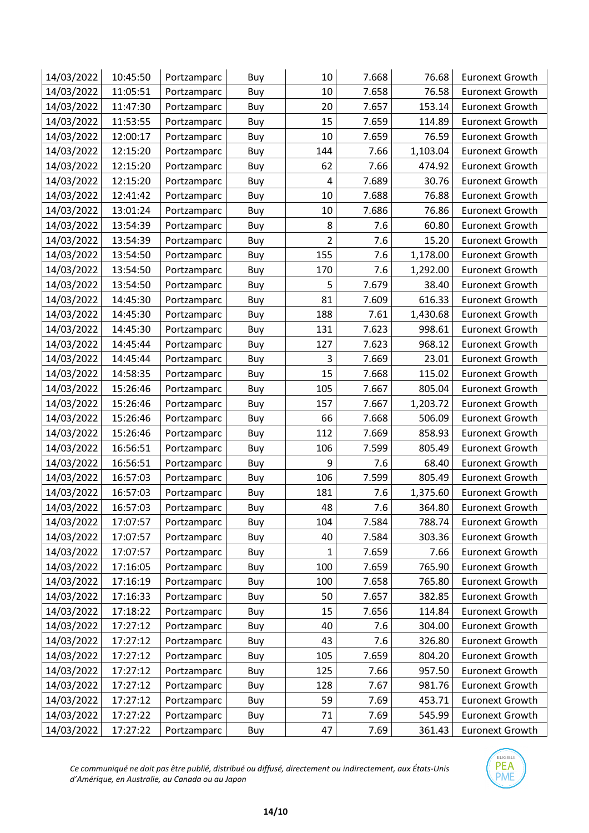| 14/03/2022 | 10:45:50 | Portzamparc | Buy | 10             | 7.668 | 76.68    | <b>Euronext Growth</b> |
|------------|----------|-------------|-----|----------------|-------|----------|------------------------|
| 14/03/2022 | 11:05:51 | Portzamparc | Buy | 10             | 7.658 | 76.58    | <b>Euronext Growth</b> |
| 14/03/2022 | 11:47:30 | Portzamparc | Buy | 20             | 7.657 | 153.14   | <b>Euronext Growth</b> |
| 14/03/2022 | 11:53:55 | Portzamparc | Buy | 15             | 7.659 | 114.89   | <b>Euronext Growth</b> |
| 14/03/2022 | 12:00:17 | Portzamparc | Buy | 10             | 7.659 | 76.59    | <b>Euronext Growth</b> |
| 14/03/2022 | 12:15:20 | Portzamparc | Buy | 144            | 7.66  | 1,103.04 | <b>Euronext Growth</b> |
| 14/03/2022 | 12:15:20 | Portzamparc | Buy | 62             | 7.66  | 474.92   | <b>Euronext Growth</b> |
| 14/03/2022 | 12:15:20 | Portzamparc | Buy | 4              | 7.689 | 30.76    | <b>Euronext Growth</b> |
| 14/03/2022 | 12:41:42 | Portzamparc | Buy | 10             | 7.688 | 76.88    | <b>Euronext Growth</b> |
| 14/03/2022 | 13:01:24 | Portzamparc | Buy | 10             | 7.686 | 76.86    | <b>Euronext Growth</b> |
| 14/03/2022 | 13:54:39 | Portzamparc | Buy | 8              | 7.6   | 60.80    | <b>Euronext Growth</b> |
| 14/03/2022 | 13:54:39 | Portzamparc | Buy | $\overline{2}$ | 7.6   | 15.20    | <b>Euronext Growth</b> |
| 14/03/2022 | 13:54:50 | Portzamparc | Buy | 155            | 7.6   | 1,178.00 | <b>Euronext Growth</b> |
| 14/03/2022 | 13:54:50 | Portzamparc | Buy | 170            | 7.6   | 1,292.00 | <b>Euronext Growth</b> |
| 14/03/2022 | 13:54:50 | Portzamparc | Buy | 5              | 7.679 | 38.40    | <b>Euronext Growth</b> |
| 14/03/2022 | 14:45:30 | Portzamparc | Buy | 81             | 7.609 | 616.33   | <b>Euronext Growth</b> |
| 14/03/2022 | 14:45:30 | Portzamparc | Buy | 188            | 7.61  | 1,430.68 | <b>Euronext Growth</b> |
| 14/03/2022 | 14:45:30 | Portzamparc | Buy | 131            | 7.623 | 998.61   | <b>Euronext Growth</b> |
| 14/03/2022 | 14:45:44 | Portzamparc | Buy | 127            | 7.623 | 968.12   | <b>Euronext Growth</b> |
| 14/03/2022 | 14:45:44 | Portzamparc | Buy | 3              | 7.669 | 23.01    | <b>Euronext Growth</b> |
| 14/03/2022 | 14:58:35 | Portzamparc | Buy | 15             | 7.668 | 115.02   | <b>Euronext Growth</b> |
| 14/03/2022 | 15:26:46 | Portzamparc | Buy | 105            | 7.667 | 805.04   | <b>Euronext Growth</b> |
| 14/03/2022 | 15:26:46 | Portzamparc | Buy | 157            | 7.667 | 1,203.72 | <b>Euronext Growth</b> |
| 14/03/2022 | 15:26:46 | Portzamparc | Buy | 66             | 7.668 | 506.09   | <b>Euronext Growth</b> |
| 14/03/2022 | 15:26:46 | Portzamparc | Buy | 112            | 7.669 | 858.93   | <b>Euronext Growth</b> |
| 14/03/2022 | 16:56:51 | Portzamparc | Buy | 106            | 7.599 | 805.49   | <b>Euronext Growth</b> |
| 14/03/2022 | 16:56:51 | Portzamparc | Buy | 9              | 7.6   | 68.40    | <b>Euronext Growth</b> |
| 14/03/2022 | 16:57:03 | Portzamparc | Buy | 106            | 7.599 | 805.49   | <b>Euronext Growth</b> |
| 14/03/2022 | 16:57:03 | Portzamparc | Buy | 181            | 7.6   | 1,375.60 | <b>Euronext Growth</b> |
| 14/03/2022 | 16:57:03 | Portzamparc | Buy | 48             | 7.6   | 364.80   | <b>Euronext Growth</b> |
| 14/03/2022 | 17:07:57 | Portzamparc | Buy | 104            | 7.584 | 788.74   | <b>Euronext Growth</b> |
| 14/03/2022 | 17:07:57 | Portzamparc | Buy | 40             | 7.584 | 303.36   | <b>Euronext Growth</b> |
| 14/03/2022 | 17:07:57 | Portzamparc | Buy | 1              | 7.659 | 7.66     | <b>Euronext Growth</b> |
| 14/03/2022 | 17:16:05 | Portzamparc | Buy | 100            | 7.659 | 765.90   | <b>Euronext Growth</b> |
| 14/03/2022 | 17:16:19 | Portzamparc | Buy | 100            | 7.658 | 765.80   | <b>Euronext Growth</b> |
| 14/03/2022 | 17:16:33 | Portzamparc | Buy | 50             | 7.657 | 382.85   | <b>Euronext Growth</b> |
| 14/03/2022 | 17:18:22 | Portzamparc | Buy | 15             | 7.656 | 114.84   | <b>Euronext Growth</b> |
| 14/03/2022 | 17:27:12 | Portzamparc | Buy | 40             | 7.6   | 304.00   | <b>Euronext Growth</b> |
| 14/03/2022 | 17:27:12 | Portzamparc | Buy | 43             | 7.6   | 326.80   | <b>Euronext Growth</b> |
| 14/03/2022 | 17:27:12 | Portzamparc | Buy | 105            | 7.659 | 804.20   | <b>Euronext Growth</b> |
| 14/03/2022 | 17:27:12 | Portzamparc | Buy | 125            | 7.66  | 957.50   | <b>Euronext Growth</b> |
| 14/03/2022 | 17:27:12 | Portzamparc | Buy | 128            | 7.67  | 981.76   | <b>Euronext Growth</b> |
| 14/03/2022 | 17:27:12 | Portzamparc | Buy | 59             | 7.69  | 453.71   | <b>Euronext Growth</b> |
| 14/03/2022 | 17:27:22 | Portzamparc | Buy | 71             | 7.69  | 545.99   | <b>Euronext Growth</b> |
| 14/03/2022 | 17:27:22 | Portzamparc | Buy | 47             | 7.69  | 361.43   | <b>Euronext Growth</b> |

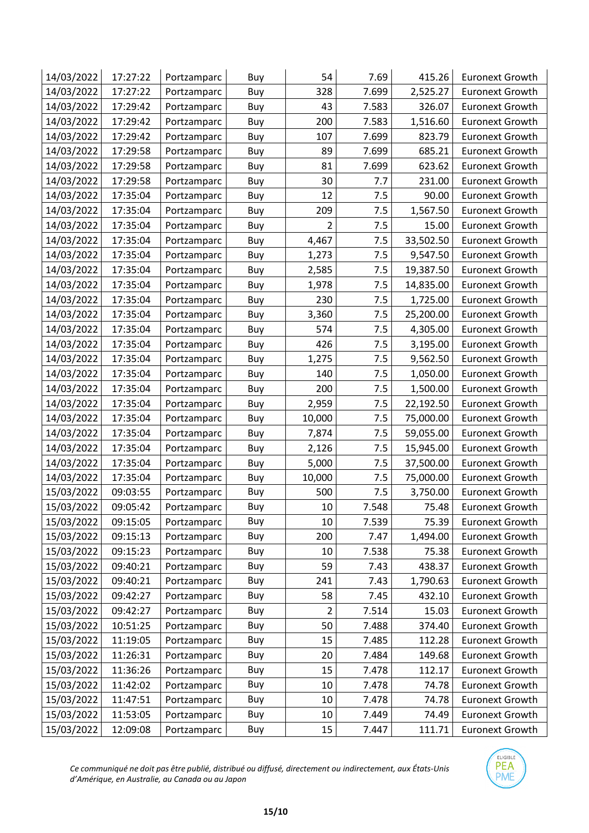| 14/03/2022 | 17:27:22 | Portzamparc | Buy | 54             | 7.69  | 415.26    | <b>Euronext Growth</b> |
|------------|----------|-------------|-----|----------------|-------|-----------|------------------------|
| 14/03/2022 | 17:27:22 | Portzamparc | Buy | 328            | 7.699 | 2,525.27  | <b>Euronext Growth</b> |
| 14/03/2022 | 17:29:42 | Portzamparc | Buy | 43             | 7.583 | 326.07    | <b>Euronext Growth</b> |
| 14/03/2022 | 17:29:42 | Portzamparc | Buy | 200            | 7.583 | 1,516.60  | <b>Euronext Growth</b> |
| 14/03/2022 | 17:29:42 | Portzamparc | Buy | 107            | 7.699 | 823.79    | <b>Euronext Growth</b> |
| 14/03/2022 | 17:29:58 | Portzamparc | Buy | 89             | 7.699 | 685.21    | <b>Euronext Growth</b> |
| 14/03/2022 | 17:29:58 | Portzamparc | Buy | 81             | 7.699 | 623.62    | <b>Euronext Growth</b> |
| 14/03/2022 | 17:29:58 | Portzamparc | Buy | 30             | 7.7   | 231.00    | <b>Euronext Growth</b> |
| 14/03/2022 | 17:35:04 | Portzamparc | Buy | 12             | 7.5   | 90.00     | <b>Euronext Growth</b> |
| 14/03/2022 | 17:35:04 | Portzamparc | Buy | 209            | 7.5   | 1,567.50  | <b>Euronext Growth</b> |
| 14/03/2022 | 17:35:04 | Portzamparc | Buy | 2              | 7.5   | 15.00     | <b>Euronext Growth</b> |
| 14/03/2022 | 17:35:04 | Portzamparc | Buy | 4,467          | 7.5   | 33,502.50 | <b>Euronext Growth</b> |
| 14/03/2022 | 17:35:04 | Portzamparc | Buy | 1,273          | 7.5   | 9,547.50  | <b>Euronext Growth</b> |
| 14/03/2022 | 17:35:04 | Portzamparc | Buy | 2,585          | 7.5   | 19,387.50 | <b>Euronext Growth</b> |
| 14/03/2022 | 17:35:04 | Portzamparc | Buy | 1,978          | 7.5   | 14,835.00 | <b>Euronext Growth</b> |
| 14/03/2022 | 17:35:04 | Portzamparc | Buy | 230            | 7.5   | 1,725.00  | <b>Euronext Growth</b> |
| 14/03/2022 | 17:35:04 | Portzamparc | Buy | 3,360          | 7.5   | 25,200.00 | <b>Euronext Growth</b> |
| 14/03/2022 | 17:35:04 | Portzamparc | Buy | 574            | 7.5   | 4,305.00  | <b>Euronext Growth</b> |
| 14/03/2022 | 17:35:04 | Portzamparc | Buy | 426            | 7.5   | 3,195.00  | <b>Euronext Growth</b> |
| 14/03/2022 | 17:35:04 | Portzamparc | Buy | 1,275          | 7.5   | 9,562.50  | <b>Euronext Growth</b> |
| 14/03/2022 | 17:35:04 | Portzamparc | Buy | 140            | 7.5   | 1,050.00  | <b>Euronext Growth</b> |
| 14/03/2022 | 17:35:04 | Portzamparc | Buy | 200            | 7.5   | 1,500.00  | <b>Euronext Growth</b> |
| 14/03/2022 | 17:35:04 | Portzamparc | Buy | 2,959          | 7.5   | 22,192.50 | <b>Euronext Growth</b> |
| 14/03/2022 | 17:35:04 | Portzamparc | Buy | 10,000         | 7.5   | 75,000.00 | <b>Euronext Growth</b> |
| 14/03/2022 | 17:35:04 | Portzamparc | Buy | 7,874          | 7.5   | 59,055.00 | <b>Euronext Growth</b> |
| 14/03/2022 | 17:35:04 | Portzamparc | Buy | 2,126          | 7.5   | 15,945.00 | <b>Euronext Growth</b> |
| 14/03/2022 | 17:35:04 | Portzamparc | Buy | 5,000          | 7.5   | 37,500.00 | <b>Euronext Growth</b> |
| 14/03/2022 | 17:35:04 | Portzamparc | Buy | 10,000         | 7.5   | 75,000.00 | <b>Euronext Growth</b> |
| 15/03/2022 | 09:03:55 | Portzamparc | Buy | 500            | 7.5   | 3,750.00  | <b>Euronext Growth</b> |
| 15/03/2022 | 09:05:42 | Portzamparc | Buy | 10             | 7.548 | 75.48     | <b>Euronext Growth</b> |
| 15/03/2022 | 09:15:05 | Portzamparc | Buy | 10             | 7.539 | 75.39     | <b>Euronext Growth</b> |
| 15/03/2022 | 09:15:13 | Portzamparc | Buy | 200            | 7.47  | 1,494.00  | <b>Euronext Growth</b> |
| 15/03/2022 | 09:15:23 | Portzamparc | Buy | 10             | 7.538 | 75.38     | <b>Euronext Growth</b> |
| 15/03/2022 | 09:40:21 | Portzamparc | Buy | 59             | 7.43  | 438.37    | <b>Euronext Growth</b> |
| 15/03/2022 | 09:40:21 | Portzamparc | Buy | 241            | 7.43  | 1,790.63  | <b>Euronext Growth</b> |
| 15/03/2022 | 09:42:27 | Portzamparc | Buy | 58             | 7.45  | 432.10    | <b>Euronext Growth</b> |
| 15/03/2022 | 09:42:27 | Portzamparc | Buy | $\overline{2}$ | 7.514 | 15.03     | <b>Euronext Growth</b> |
| 15/03/2022 | 10:51:25 | Portzamparc | Buy | 50             | 7.488 | 374.40    | <b>Euronext Growth</b> |
| 15/03/2022 | 11:19:05 | Portzamparc | Buy | 15             | 7.485 | 112.28    | <b>Euronext Growth</b> |
| 15/03/2022 | 11:26:31 | Portzamparc | Buy | 20             | 7.484 | 149.68    | <b>Euronext Growth</b> |
| 15/03/2022 | 11:36:26 | Portzamparc | Buy | 15             | 7.478 | 112.17    | <b>Euronext Growth</b> |
| 15/03/2022 | 11:42:02 | Portzamparc | Buy | 10             | 7.478 | 74.78     | <b>Euronext Growth</b> |
| 15/03/2022 | 11:47:51 | Portzamparc | Buy | 10             | 7.478 | 74.78     | <b>Euronext Growth</b> |
| 15/03/2022 | 11:53:05 | Portzamparc | Buy | 10             | 7.449 | 74.49     | <b>Euronext Growth</b> |
| 15/03/2022 | 12:09:08 | Portzamparc | Buy | 15             | 7.447 | 111.71    | <b>Euronext Growth</b> |

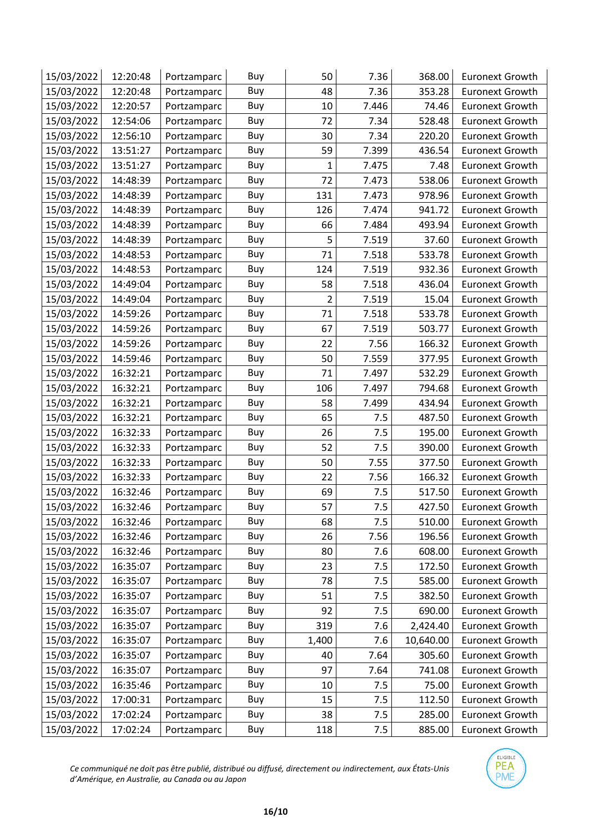| 15/03/2022 | 12:20:48 | Portzamparc | Buy | 50             | 7.36  | 368.00    | <b>Euronext Growth</b> |
|------------|----------|-------------|-----|----------------|-------|-----------|------------------------|
| 15/03/2022 | 12:20:48 | Portzamparc | Buy | 48             | 7.36  | 353.28    | <b>Euronext Growth</b> |
| 15/03/2022 | 12:20:57 | Portzamparc | Buy | 10             | 7.446 | 74.46     | <b>Euronext Growth</b> |
| 15/03/2022 | 12:54:06 | Portzamparc | Buy | 72             | 7.34  | 528.48    | <b>Euronext Growth</b> |
| 15/03/2022 | 12:56:10 | Portzamparc | Buy | 30             | 7.34  | 220.20    | <b>Euronext Growth</b> |
| 15/03/2022 | 13:51:27 | Portzamparc | Buy | 59             | 7.399 | 436.54    | <b>Euronext Growth</b> |
| 15/03/2022 | 13:51:27 | Portzamparc | Buy | 1              | 7.475 | 7.48      | <b>Euronext Growth</b> |
| 15/03/2022 | 14:48:39 | Portzamparc | Buy | 72             | 7.473 | 538.06    | <b>Euronext Growth</b> |
| 15/03/2022 | 14:48:39 | Portzamparc | Buy | 131            | 7.473 | 978.96    | <b>Euronext Growth</b> |
| 15/03/2022 | 14:48:39 | Portzamparc | Buy | 126            | 7.474 | 941.72    | <b>Euronext Growth</b> |
| 15/03/2022 | 14:48:39 | Portzamparc | Buy | 66             | 7.484 | 493.94    | <b>Euronext Growth</b> |
| 15/03/2022 | 14:48:39 | Portzamparc | Buy | 5              | 7.519 | 37.60     | <b>Euronext Growth</b> |
| 15/03/2022 | 14:48:53 | Portzamparc | Buy | 71             | 7.518 | 533.78    | <b>Euronext Growth</b> |
| 15/03/2022 | 14:48:53 | Portzamparc | Buy | 124            | 7.519 | 932.36    | <b>Euronext Growth</b> |
| 15/03/2022 | 14:49:04 | Portzamparc | Buy | 58             | 7.518 | 436.04    | <b>Euronext Growth</b> |
| 15/03/2022 | 14:49:04 | Portzamparc | Buy | $\overline{2}$ | 7.519 | 15.04     | <b>Euronext Growth</b> |
| 15/03/2022 | 14:59:26 | Portzamparc | Buy | 71             | 7.518 | 533.78    | <b>Euronext Growth</b> |
| 15/03/2022 | 14:59:26 | Portzamparc | Buy | 67             | 7.519 | 503.77    | <b>Euronext Growth</b> |
| 15/03/2022 | 14:59:26 | Portzamparc | Buy | 22             | 7.56  | 166.32    | <b>Euronext Growth</b> |
| 15/03/2022 | 14:59:46 | Portzamparc | Buy | 50             | 7.559 | 377.95    | <b>Euronext Growth</b> |
| 15/03/2022 | 16:32:21 | Portzamparc | Buy | 71             | 7.497 | 532.29    | <b>Euronext Growth</b> |
| 15/03/2022 | 16:32:21 | Portzamparc | Buy | 106            | 7.497 | 794.68    | <b>Euronext Growth</b> |
| 15/03/2022 | 16:32:21 | Portzamparc | Buy | 58             | 7.499 | 434.94    | <b>Euronext Growth</b> |
| 15/03/2022 | 16:32:21 | Portzamparc | Buy | 65             | 7.5   | 487.50    | <b>Euronext Growth</b> |
| 15/03/2022 | 16:32:33 | Portzamparc | Buy | 26             | 7.5   | 195.00    | <b>Euronext Growth</b> |
| 15/03/2022 | 16:32:33 | Portzamparc | Buy | 52             | 7.5   | 390.00    | <b>Euronext Growth</b> |
| 15/03/2022 | 16:32:33 | Portzamparc | Buy | 50             | 7.55  | 377.50    | <b>Euronext Growth</b> |
| 15/03/2022 | 16:32:33 | Portzamparc | Buy | 22             | 7.56  | 166.32    | <b>Euronext Growth</b> |
| 15/03/2022 | 16:32:46 | Portzamparc | Buy | 69             | 7.5   | 517.50    | <b>Euronext Growth</b> |
| 15/03/2022 | 16:32:46 | Portzamparc | Buy | 57             | 7.5   | 427.50    | Euronext Growth        |
| 15/03/2022 | 16:32:46 | Portzamparc | Buy | 68             | 7.5   | 510.00    | <b>Euronext Growth</b> |
| 15/03/2022 | 16:32:46 | Portzamparc | Buy | 26             | 7.56  | 196.56    | <b>Euronext Growth</b> |
| 15/03/2022 | 16:32:46 | Portzamparc | Buy | 80             | 7.6   | 608.00    | <b>Euronext Growth</b> |
| 15/03/2022 | 16:35:07 | Portzamparc | Buy | 23             | 7.5   | 172.50    | <b>Euronext Growth</b> |
| 15/03/2022 | 16:35:07 | Portzamparc | Buy | 78             | 7.5   | 585.00    | <b>Euronext Growth</b> |
| 15/03/2022 | 16:35:07 | Portzamparc | Buy | 51             | 7.5   | 382.50    | <b>Euronext Growth</b> |
| 15/03/2022 | 16:35:07 | Portzamparc | Buy | 92             | 7.5   | 690.00    | <b>Euronext Growth</b> |
| 15/03/2022 | 16:35:07 | Portzamparc | Buy | 319            | 7.6   | 2,424.40  | <b>Euronext Growth</b> |
| 15/03/2022 | 16:35:07 | Portzamparc | Buy | 1,400          | 7.6   | 10,640.00 | <b>Euronext Growth</b> |
| 15/03/2022 | 16:35:07 | Portzamparc | Buy | 40             | 7.64  | 305.60    | <b>Euronext Growth</b> |
| 15/03/2022 | 16:35:07 | Portzamparc | Buy | 97             | 7.64  | 741.08    | <b>Euronext Growth</b> |
| 15/03/2022 | 16:35:46 | Portzamparc | Buy | 10             | 7.5   | 75.00     | <b>Euronext Growth</b> |
| 15/03/2022 | 17:00:31 | Portzamparc | Buy | 15             | 7.5   | 112.50    | <b>Euronext Growth</b> |
| 15/03/2022 | 17:02:24 | Portzamparc | Buy | 38             | 7.5   | 285.00    | <b>Euronext Growth</b> |
| 15/03/2022 | 17:02:24 | Portzamparc | Buy | 118            | 7.5   | 885.00    | <b>Euronext Growth</b> |